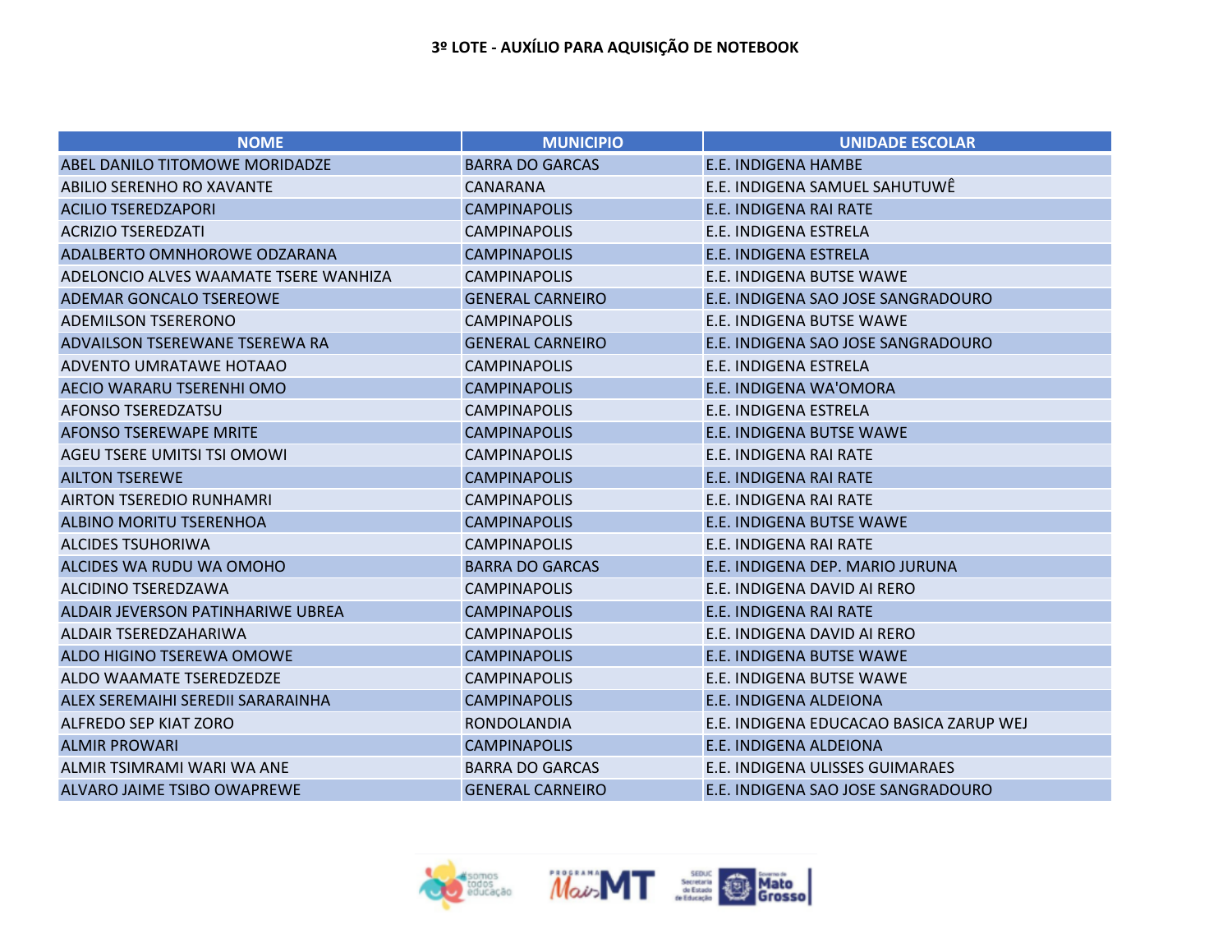| <b>NOME</b>                           | <b>MUNICIPIO</b>        | <b>UNIDADE ESCOLAR</b>                  |
|---------------------------------------|-------------------------|-----------------------------------------|
| ABEL DANILO TITOMOWE MORIDADZE        | <b>BARRA DO GARCAS</b>  | <b>E.E. INDIGENA HAMBE</b>              |
| ABILIO SERENHO RO XAVANTE             | <b>CANARANA</b>         | E.E. INDIGENA SAMUEL SAHUTUWÊ           |
| <b>ACILIO TSEREDZAPORI</b>            | <b>CAMPINAPOLIS</b>     | E.E. INDIGENA RAI RATE                  |
| <b>ACRIZIO TSEREDZATI</b>             | <b>CAMPINAPOLIS</b>     | E.E. INDIGENA ESTRELA                   |
| ADALBERTO OMNHOROWE ODZARANA          | <b>CAMPINAPOLIS</b>     | E.E. INDIGENA ESTRELA                   |
| ADELONCIO ALVES WAAMATE TSERE WANHIZA | <b>CAMPINAPOLIS</b>     | E.E. INDIGENA BUTSE WAWE                |
| ADEMAR GONCALO TSEREOWE               | <b>GENERAL CARNEIRO</b> | E.E. INDIGENA SAO JOSE SANGRADOURO      |
| <b>ADEMILSON TSERERONO</b>            | <b>CAMPINAPOLIS</b>     | E.E. INDIGENA BUTSE WAWE                |
| ADVAILSON TSEREWANE TSEREWA RA        | <b>GENERAL CARNEIRO</b> | E.E. INDIGENA SAO JOSE SANGRADOURO      |
| ADVENTO UMRATAWE HOTAAO               | <b>CAMPINAPOLIS</b>     | E.E. INDIGENA ESTRELA                   |
| AECIO WARARU TSERENHI OMO             | <b>CAMPINAPOLIS</b>     | E.E. INDIGENA WA'OMORA                  |
| <b>AFONSO TSEREDZATSU</b>             | <b>CAMPINAPOLIS</b>     | E.E. INDIGENA ESTRELA                   |
| <b>AFONSO TSEREWAPE MRITE</b>         | <b>CAMPINAPOLIS</b>     | <b>E.E. INDIGENA BUTSE WAWE</b>         |
| AGEU TSERE UMITSI TSI OMOWI           | <b>CAMPINAPOLIS</b>     | E.E. INDIGENA RAI RATE                  |
| <b>AILTON TSEREWE</b>                 | <b>CAMPINAPOLIS</b>     | <b>E.E. INDIGENA RAI RATE</b>           |
| AIRTON TSEREDIO RUNHAMRI              | <b>CAMPINAPOLIS</b>     | E.E. INDIGENA RAI RATE                  |
| <b>ALBINO MORITU TSERENHOA</b>        | <b>CAMPINAPOLIS</b>     | <b>E.E. INDIGENA BUTSE WAWE</b>         |
| <b>ALCIDES TSUHORIWA</b>              | <b>CAMPINAPOLIS</b>     | E.E. INDIGENA RAI RATE                  |
| ALCIDES WA RUDU WA OMOHO              | <b>BARRA DO GARCAS</b>  | E.E. INDIGENA DEP. MARIO JURUNA         |
| ALCIDINO TSEREDZAWA                   | <b>CAMPINAPOLIS</b>     | E.E. INDIGENA DAVID AI RERO             |
| ALDAIR JEVERSON PATINHARIWE UBREA     | <b>CAMPINAPOLIS</b>     | E.E. INDIGENA RAI RATE                  |
| <b>ALDAIR TSEREDZAHARIWA</b>          | <b>CAMPINAPOLIS</b>     | E.E. INDIGENA DAVID AI RERO             |
| ALDO HIGINO TSEREWA OMOWE             | <b>CAMPINAPOLIS</b>     | <b>E.E. INDIGENA BUTSE WAWE</b>         |
| ALDO WAAMATE TSEREDZEDZE              | <b>CAMPINAPOLIS</b>     | E.E. INDIGENA BUTSE WAWE                |
| ALEX SEREMAIHI SEREDII SARARAINHA     | <b>CAMPINAPOLIS</b>     | <b>E.E. INDIGENA ALDEIONA</b>           |
| <b>ALFREDO SEP KIAT ZORO</b>          | <b>RONDOLANDIA</b>      | E.E. INDIGENA EDUCACAO BASICA ZARUP WEJ |
| <b>ALMIR PROWARI</b>                  | <b>CAMPINAPOLIS</b>     | <b>E.E. INDIGENA ALDEIONA</b>           |
| ALMIR TSIMRAMI WARI WA ANE            | <b>BARRA DO GARCAS</b>  | E.E. INDIGENA ULISSES GUIMARAES         |
| ALVARO JAIME TSIBO OWAPREWE           | <b>GENERAL CARNEIRO</b> | E.E. INDIGENA SAO JOSE SANGRADOURO      |

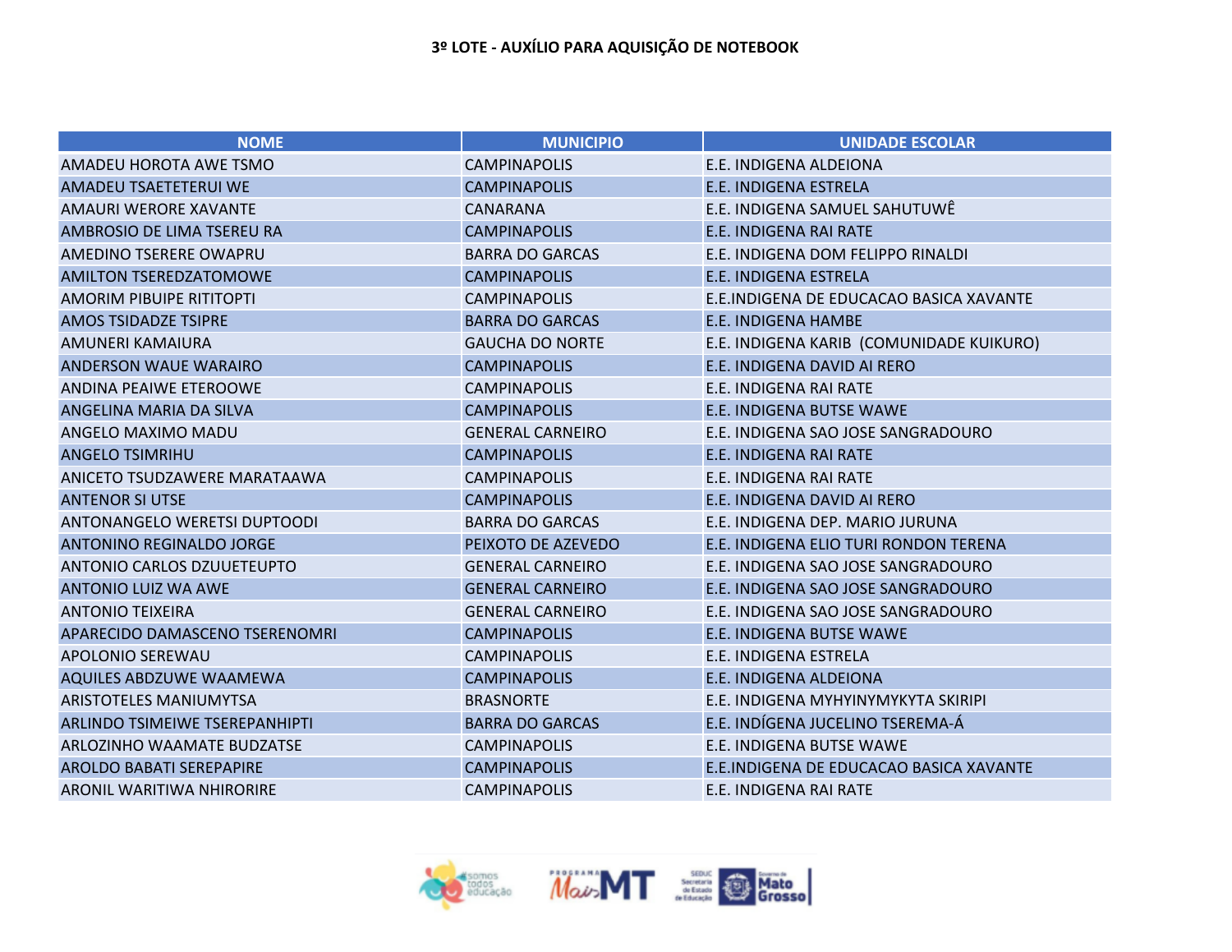| <b>NOME</b>                      | <b>MUNICIPIO</b>        | <b>UNIDADE ESCOLAR</b>                   |
|----------------------------------|-------------------------|------------------------------------------|
| AMADEU HOROTA AWE TSMO           | <b>CAMPINAPOLIS</b>     | E.E. INDIGENA ALDEIONA                   |
| AMADEU TSAETETERUI WE            | <b>CAMPINAPOLIS</b>     | E.E. INDIGENA ESTRELA                    |
| <b>AMAURI WERORE XAVANTE</b>     | <b>CANARANA</b>         | E.E. INDIGENA SAMUEL SAHUTUWÊ            |
| AMBROSIO DE LIMA TSEREU RA       | <b>CAMPINAPOLIS</b>     | E.E. INDIGENA RAI RATE                   |
| AMEDINO TSERERE OWAPRU           | <b>BARRA DO GARCAS</b>  | E.E. INDIGENA DOM FELIPPO RINALDI        |
| <b>AMILTON TSEREDZATOMOWE</b>    | <b>CAMPINAPOLIS</b>     | E.E. INDIGENA ESTRELA                    |
| <b>AMORIM PIBUIPE RITITOPTI</b>  | <b>CAMPINAPOLIS</b>     | E.E.INDIGENA DE EDUCACAO BASICA XAVANTE  |
| <b>AMOS TSIDADZE TSIPRE</b>      | <b>BARRA DO GARCAS</b>  | <b>E.E. INDIGENA HAMBE</b>               |
| AMUNERI KAMAIURA                 | <b>GAUCHA DO NORTE</b>  | E.E. INDIGENA KARIB (COMUNIDADE KUIKURO) |
| <b>ANDERSON WAUE WARAIRO</b>     | <b>CAMPINAPOLIS</b>     | E.E. INDIGENA DAVID AI RERO              |
| ANDINA PEAIWE ETEROOWE           | <b>CAMPINAPOLIS</b>     | E.E. INDIGENA RAI RATE                   |
| ANGELINA MARIA DA SILVA          | <b>CAMPINAPOLIS</b>     | E.E. INDIGENA BUTSE WAWE                 |
| ANGELO MAXIMO MADU               | <b>GENERAL CARNEIRO</b> | E.E. INDIGENA SAO JOSE SANGRADOURO       |
| <b>ANGELO TSIMRIHU</b>           | <b>CAMPINAPOLIS</b>     | E.E. INDIGENA RAI RATE                   |
| ANICETO TSUDZAWERE MARATAAWA     | <b>CAMPINAPOLIS</b>     | E.E. INDIGENA RAI RATE                   |
| <b>ANTENOR SI UTSE</b>           | <b>CAMPINAPOLIS</b>     | E.E. INDIGENA DAVID AI RERO              |
| ANTONANGELO WERETSI DUPTOODI     | <b>BARRA DO GARCAS</b>  | E.E. INDIGENA DEP. MARIO JURUNA          |
| ANTONINO REGINALDO JORGE         | PEIXOTO DE AZEVEDO      | E.E. INDIGENA ELIO TURI RONDON TERENA    |
| ANTONIO CARLOS DZUUETEUPTO       | <b>GENERAL CARNEIRO</b> | E.E. INDIGENA SAO JOSE SANGRADOURO       |
| <b>ANTONIO LUIZ WA AWE</b>       | <b>GENERAL CARNEIRO</b> | E.E. INDIGENA SAO JOSE SANGRADOURO       |
| <b>ANTONIO TEIXEIRA</b>          | <b>GENERAL CARNEIRO</b> | E.E. INDIGENA SAO JOSE SANGRADOURO       |
| APARECIDO DAMASCENO TSERENOMRI   | <b>CAMPINAPOLIS</b>     | E.E. INDIGENA BUTSE WAWE                 |
| <b>APOLONIO SEREWAU</b>          | <b>CAMPINAPOLIS</b>     | E.E. INDIGENA ESTRELA                    |
| <b>AQUILES ABDZUWE WAAMEWA</b>   | <b>CAMPINAPOLIS</b>     | E.E. INDIGENA ALDEIONA                   |
| <b>ARISTOTELES MANIUMYTSA</b>    | <b>BRASNORTE</b>        | E.E. INDIGENA MYHYINYMYKYTA SKIRIPI      |
| ARLINDO TSIMEIWE TSEREPANHIPTI   | <b>BARRA DO GARCAS</b>  | E.E. INDÍGENA JUCELINO TSEREMA-Á         |
| ARLOZINHO WAAMATE BUDZATSE       | <b>CAMPINAPOLIS</b>     | E.E. INDIGENA BUTSE WAWE                 |
| <b>AROLDO BABATI SEREPAPIRE</b>  | <b>CAMPINAPOLIS</b>     | E.E.INDIGENA DE EDUCACAO BASICA XAVANTE  |
| <b>ARONIL WARITIWA NHIRORIRE</b> | <b>CAMPINAPOLIS</b>     | E.E. INDIGENA RAI RATE                   |

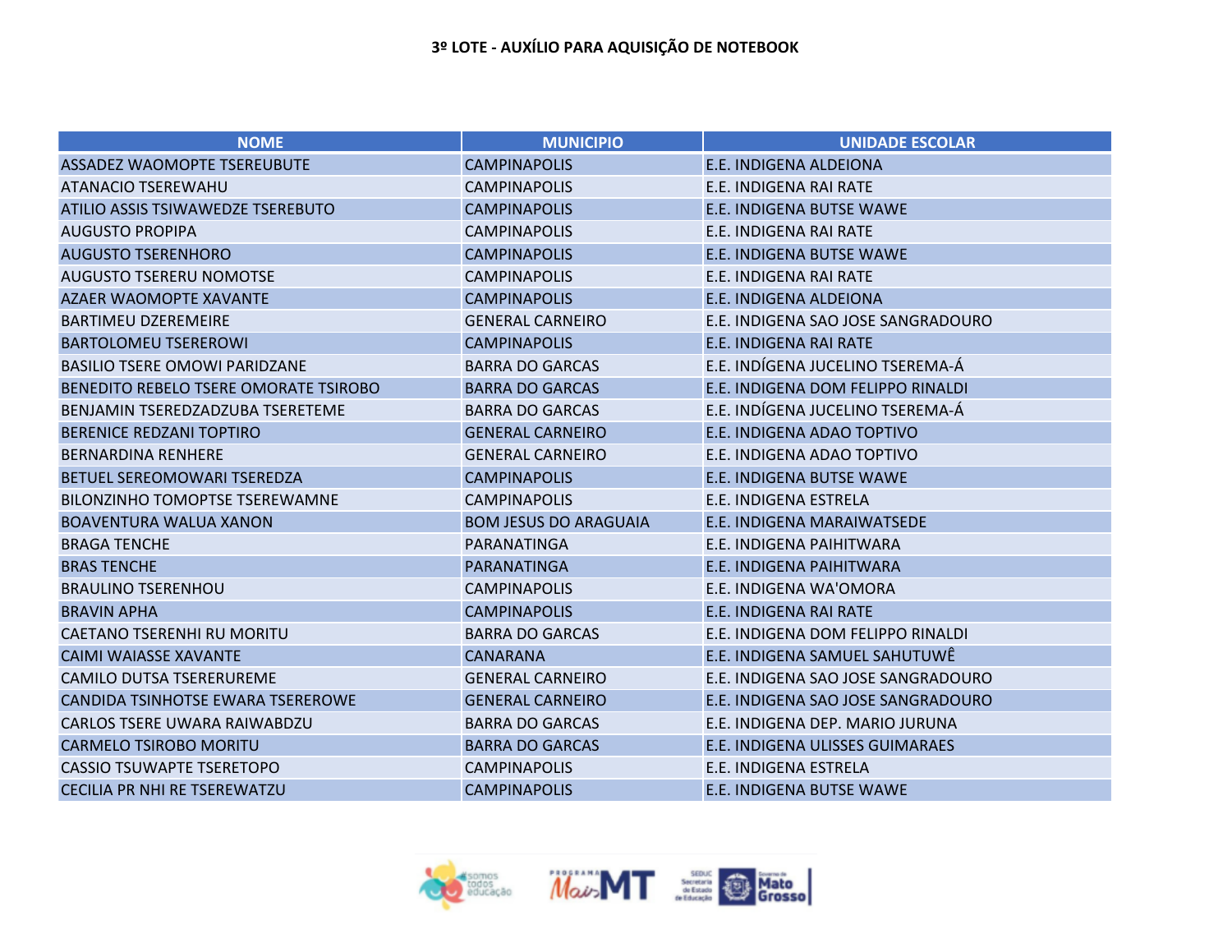| <b>NOME</b>                              | <b>MUNICIPIO</b>             | <b>UNIDADE ESCOLAR</b>             |
|------------------------------------------|------------------------------|------------------------------------|
| ASSADEZ WAOMOPTE TSEREUBUTE              | <b>CAMPINAPOLIS</b>          | <b>E.E. INDIGENA ALDEIONA</b>      |
| <b>ATANACIO TSEREWAHU</b>                | <b>CAMPINAPOLIS</b>          | E.E. INDIGENA RAI RATE             |
| ATILIO ASSIS TSIWAWEDZE TSEREBUTO        | <b>CAMPINAPOLIS</b>          | <b>E.E. INDIGENA BUTSE WAWE</b>    |
| <b>AUGUSTO PROPIPA</b>                   | <b>CAMPINAPOLIS</b>          | E.E. INDIGENA RAI RATE             |
| <b>AUGUSTO TSERENHORO</b>                | <b>CAMPINAPOLIS</b>          | <b>E.E. INDIGENA BUTSE WAWE</b>    |
| <b>AUGUSTO TSERERU NOMOTSE</b>           | <b>CAMPINAPOLIS</b>          | E.E. INDIGENA RAI RATE             |
| <b>AZAER WAOMOPTE XAVANTE</b>            | <b>CAMPINAPOLIS</b>          | E.E. INDIGENA ALDEIONA             |
| <b>BARTIMEU DZEREMEIRE</b>               | <b>GENERAL CARNEIRO</b>      | E.E. INDIGENA SAO JOSE SANGRADOURO |
| <b>BARTOLOMEU TSEREROWI</b>              | <b>CAMPINAPOLIS</b>          | E.E. INDIGENA RAI RATE             |
| <b>BASILIO TSERE OMOWI PARIDZANE</b>     | <b>BARRA DO GARCAS</b>       | E.E. INDÍGENA JUCELINO TSEREMA-Á   |
| BENEDITO REBELO TSERE OMORATE TSIROBO    | <b>BARRA DO GARCAS</b>       | E.E. INDIGENA DOM FELIPPO RINALDI  |
| BENJAMIN TSEREDZADZUBA TSERETEME         | <b>BARRA DO GARCAS</b>       | E.E. INDÍGENA JUCELINO TSEREMA-Á   |
| <b>BERENICE REDZANI TOPTIRO</b>          | <b>GENERAL CARNEIRO</b>      | E.E. INDIGENA ADAO TOPTIVO         |
| <b>BERNARDINA RENHERE</b>                | <b>GENERAL CARNEIRO</b>      | E.E. INDIGENA ADAO TOPTIVO         |
| <b>BETUEL SEREOMOWARI TSEREDZA</b>       | <b>CAMPINAPOLIS</b>          | <b>E.E. INDIGENA BUTSE WAWE</b>    |
| <b>BILONZINHO TOMOPTSE TSEREWAMNE</b>    | <b>CAMPINAPOLIS</b>          | E.E. INDIGENA ESTRELA              |
| <b>BOAVENTURA WALUA XANON</b>            | <b>BOM JESUS DO ARAGUAIA</b> | E.E. INDIGENA MARAIWATSEDE         |
| <b>BRAGA TENCHE</b>                      | PARANATINGA                  | E.E. INDIGENA PAIHITWARA           |
| <b>BRAS TENCHE</b>                       | <b>PARANATINGA</b>           | E.E. INDIGENA PAIHITWARA           |
| <b>BRAULINO TSERENHOU</b>                | <b>CAMPINAPOLIS</b>          | E.E. INDIGENA WA'OMORA             |
| <b>BRAVIN APHA</b>                       | <b>CAMPINAPOLIS</b>          | E.E. INDIGENA RAI RATE             |
| <b>CAETANO TSERENHI RU MORITU</b>        | <b>BARRA DO GARCAS</b>       | E.E. INDIGENA DOM FELIPPO RINALDI  |
| <b>CAIMI WAIASSE XAVANTE</b>             | <b>CANARANA</b>              | E.E. INDIGENA SAMUEL SAHUTUWÊ      |
| <b>CAMILO DUTSA TSERERUREME</b>          | <b>GENERAL CARNEIRO</b>      | E.E. INDIGENA SAO JOSE SANGRADOURO |
| <b>CANDIDA TSINHOTSE EWARA TSEREROWE</b> | <b>GENERAL CARNEIRO</b>      | E.E. INDIGENA SAO JOSE SANGRADOURO |
| <b>CARLOS TSERE UWARA RAIWABDZU</b>      | <b>BARRA DO GARCAS</b>       | E.E. INDIGENA DEP. MARIO JURUNA    |
| <b>CARMELO TSIROBO MORITU</b>            | <b>BARRA DO GARCAS</b>       | E.E. INDIGENA ULISSES GUIMARAES    |
| <b>CASSIO TSUWAPTE TSERETOPO</b>         | <b>CAMPINAPOLIS</b>          | E.E. INDIGENA ESTRELA              |
| <b>CECILIA PR NHI RE TSEREWATZU</b>      | <b>CAMPINAPOLIS</b>          | <b>E.E. INDIGENA BUTSE WAWE</b>    |

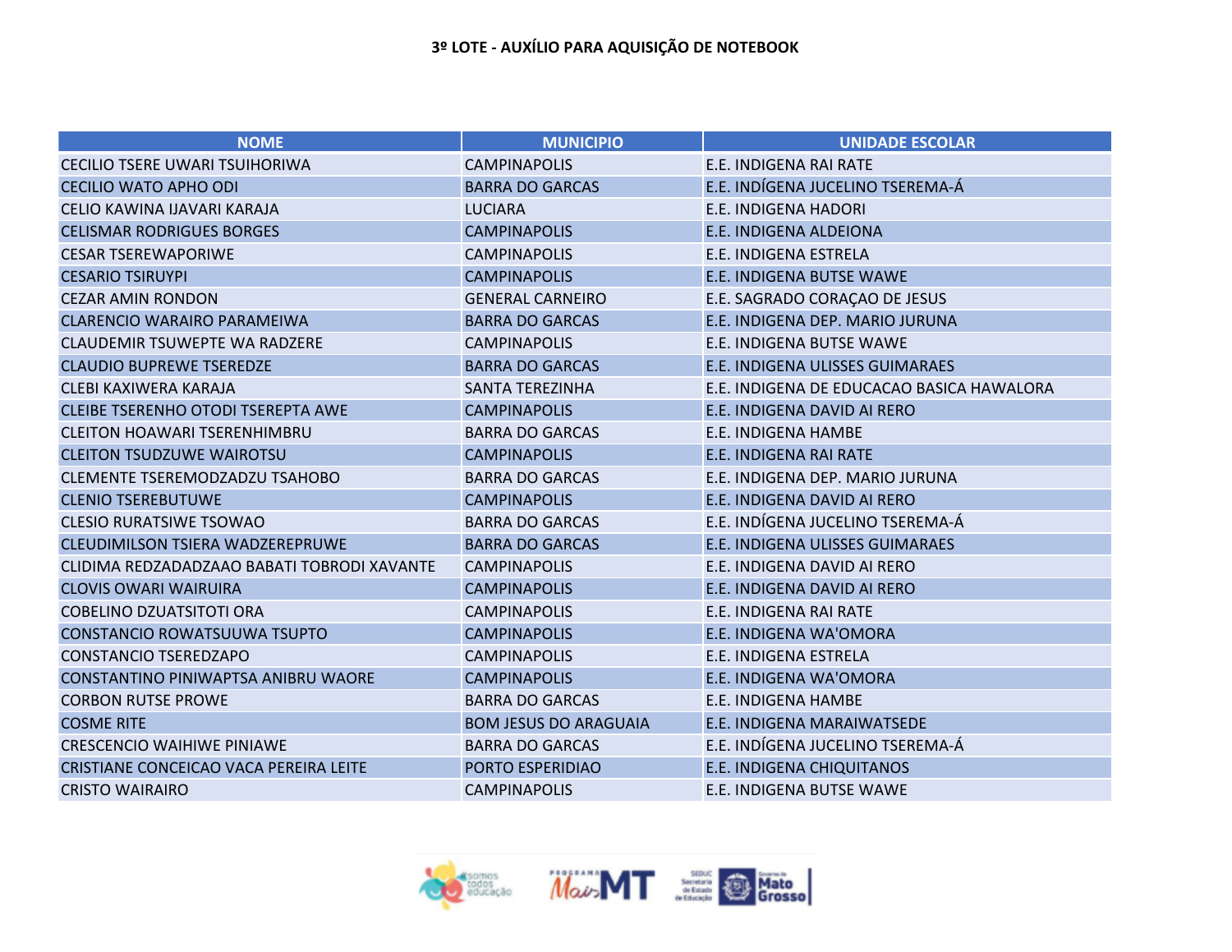| <b>NOME</b>                                 | <b>MUNICIPIO</b>             | <b>UNIDADE ESCOLAR</b>                    |
|---------------------------------------------|------------------------------|-------------------------------------------|
| <b>CECILIO TSERE UWARI TSUIHORIWA</b>       | <b>CAMPINAPOLIS</b>          | E.E. INDIGENA RAI RATE                    |
| <b>CECILIO WATO APHO ODI</b>                | <b>BARRA DO GARCAS</b>       | E.E. INDÍGENA JUCELINO TSEREMA-Á          |
| CELIO KAWINA IJAVARI KARAJA                 | <b>LUCIARA</b>               | <b>E.E. INDIGENA HADORI</b>               |
| <b>CELISMAR RODRIGUES BORGES</b>            | <b>CAMPINAPOLIS</b>          | E.E. INDIGENA ALDEIONA                    |
| <b>CESAR TSEREWAPORIWE</b>                  | <b>CAMPINAPOLIS</b>          | E.E. INDIGENA ESTRELA                     |
| <b>CESARIO TSIRUYPI</b>                     | <b>CAMPINAPOLIS</b>          | <b>E.E. INDIGENA BUTSE WAWE</b>           |
| <b>CEZAR AMIN RONDON</b>                    | <b>GENERAL CARNEIRO</b>      | E.E. SAGRADO CORAÇÃO DE JESUS             |
| <b>CLARENCIO WARAIRO PARAMEIWA</b>          | <b>BARRA DO GARCAS</b>       | E.E. INDIGENA DEP. MARIO JURUNA           |
| <b>CLAUDEMIR TSUWEPTE WA RADZERE</b>        | <b>CAMPINAPOLIS</b>          | E.E. INDIGENA BUTSE WAWE                  |
| <b>CLAUDIO BUPREWE TSEREDZE</b>             | <b>BARRA DO GARCAS</b>       | E.E. INDIGENA ULISSES GUIMARAES           |
| CLEBI KAXIWERA KARAJA                       | <b>SANTA TEREZINHA</b>       | E.E. INDIGENA DE EDUCACAO BASICA HAWALORA |
| CLEIBE TSERENHO OTODI TSEREPTA AWE          | <b>CAMPINAPOLIS</b>          | E.E. INDIGENA DAVID AI RERO               |
| <b>CLEITON HOAWARI TSERENHIMBRU</b>         | <b>BARRA DO GARCAS</b>       | E.E. INDIGENA HAMBE                       |
| <b>CLEITON TSUDZUWE WAIROTSU</b>            | <b>CAMPINAPOLIS</b>          | E.E. INDIGENA RAI RATE                    |
| CLEMENTE TSEREMODZADZU TSAHOBO              | <b>BARRA DO GARCAS</b>       | E.E. INDIGENA DEP. MARIO JURUNA           |
| <b>CLENIO TSEREBUTUWE</b>                   | <b>CAMPINAPOLIS</b>          | E.E. INDIGENA DAVID AI RERO               |
| <b>CLESIO RURATSIWE TSOWAO</b>              | <b>BARRA DO GARCAS</b>       | E.E. INDÍGENA JUCELINO TSEREMA-Á          |
| CLEUDIMILSON TSIERA WADZEREPRUWE            | <b>BARRA DO GARCAS</b>       | E.E. INDIGENA ULISSES GUIMARAES           |
| CLIDIMA REDZADADZAAO BABATI TOBRODI XAVANTE | <b>CAMPINAPOLIS</b>          | E.E. INDIGENA DAVID AI RERO               |
| <b>CLOVIS OWARI WAIRUIRA</b>                | <b>CAMPINAPOLIS</b>          | E.E. INDIGENA DAVID AI RERO               |
| <b>COBELINO DZUATSITOTI ORA</b>             | <b>CAMPINAPOLIS</b>          | E.E. INDIGENA RAI RATE                    |
| CONSTANCIO ROWATSUUWA TSUPTO                | <b>CAMPINAPOLIS</b>          | E.E. INDIGENA WA'OMORA                    |
| <b>CONSTANCIO TSEREDZAPO</b>                | <b>CAMPINAPOLIS</b>          | E.E. INDIGENA ESTRELA                     |
| CONSTANTINO PINIWAPTSA ANIBRU WAORE         | <b>CAMPINAPOLIS</b>          | E.E. INDIGENA WA'OMORA                    |
| <b>CORBON RUTSE PROWE</b>                   | <b>BARRA DO GARCAS</b>       | E.E. INDIGENA HAMBE                       |
| <b>COSME RITE</b>                           | <b>BOM JESUS DO ARAGUAIA</b> | E.E. INDIGENA MARAIWATSEDE                |
| <b>CRESCENCIO WAIHIWE PINIAWE</b>           | <b>BARRA DO GARCAS</b>       | E.E. INDÍGENA JUCELINO TSEREMA-Á          |
| CRISTIANE CONCEICAO VACA PEREIRA LEITE      | PORTO ESPERIDIAO             | E.E. INDIGENA CHIQUITANOS                 |
| <b>CRISTO WAIRAIRO</b>                      | <b>CAMPINAPOLIS</b>          | E.E. INDIGENA BUTSE WAWE                  |

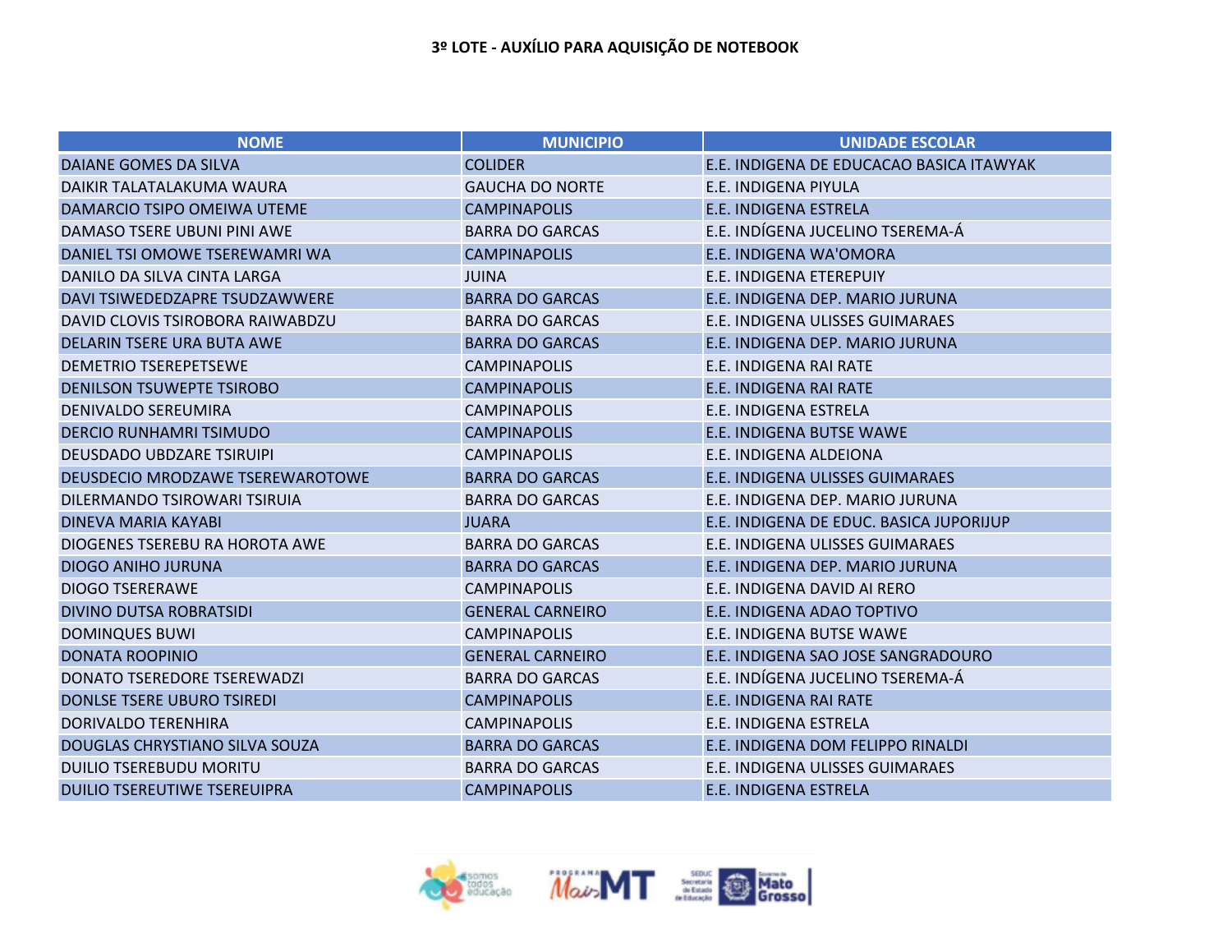| <b>NOME</b>                         | <b>MUNICIPIO</b>        | <b>UNIDADE ESCOLAR</b>                   |
|-------------------------------------|-------------------------|------------------------------------------|
| <b>DAIANE GOMES DA SILVA</b>        | <b>COLIDER</b>          | E.E. INDIGENA DE EDUCACAO BASICA ITAWYAK |
| DAIKIR TALATALAKUMA WAURA           | <b>GAUCHA DO NORTE</b>  | E.E. INDIGENA PIYULA                     |
| DAMARCIO TSIPO OMEIWA UTEME         | <b>CAMPINAPOLIS</b>     | <b>E.E. INDIGENA ESTRELA</b>             |
| DAMASO TSERE UBUNI PINI AWE         | <b>BARRA DO GARCAS</b>  | E.E. INDÍGENA JUCELINO TSEREMA-Á         |
| DANIEL TSI OMOWE TSEREWAMRI WA      | <b>CAMPINAPOLIS</b>     | E.E. INDIGENA WA'OMORA                   |
| DANILO DA SILVA CINTA LARGA         | <b>JUINA</b>            | E.E. INDIGENA ETEREPUIY                  |
| DAVI TSIWEDEDZAPRE TSUDZAWWERE      | <b>BARRA DO GARCAS</b>  | E.E. INDIGENA DEP. MARIO JURUNA          |
| DAVID CLOVIS TSIROBORA RAIWABDZU    | <b>BARRA DO GARCAS</b>  | E.E. INDIGENA ULISSES GUIMARAES          |
| DELARIN TSERE URA BUTA AWE          | <b>BARRA DO GARCAS</b>  | E.E. INDIGENA DEP. MARIO JURUNA          |
| <b>DEMETRIO TSEREPETSEWE</b>        | <b>CAMPINAPOLIS</b>     | E.E. INDIGENA RAI RATE                   |
| <b>DENILSON TSUWEPTE TSIROBO</b>    | <b>CAMPINAPOLIS</b>     | <b>E.E. INDIGENA RAI RATE</b>            |
| <b>DENIVALDO SEREUMIRA</b>          | <b>CAMPINAPOLIS</b>     | E.E. INDIGENA ESTRELA                    |
| <b>DERCIO RUNHAMRI TSIMUDO</b>      | <b>CAMPINAPOLIS</b>     | <b>E.E. INDIGENA BUTSE WAWE</b>          |
| <b>DEUSDADO UBDZARE TSIRUIPI</b>    | <b>CAMPINAPOLIS</b>     | E.E. INDIGENA ALDEIONA                   |
| DEUSDECIO MRODZAWE TSEREWAROTOWE    | <b>BARRA DO GARCAS</b>  | E.E. INDIGENA ULISSES GUIMARAES          |
| DILERMANDO TSIROWARI TSIRUIA        | <b>BARRA DO GARCAS</b>  | E.E. INDIGENA DEP. MARIO JURUNA          |
| <b>DINEVA MARIA KAYABI</b>          | <b>JUARA</b>            | E.E. INDIGENA DE EDUC. BASICA JUPORIJUP  |
| DIOGENES TSEREBU RA HOROTA AWE      | <b>BARRA DO GARCAS</b>  | E.E. INDIGENA ULISSES GUIMARAES          |
| <b>DIOGO ANIHO JURUNA</b>           | <b>BARRA DO GARCAS</b>  | E.E. INDIGENA DEP. MARIO JURUNA          |
| <b>DIOGO TSERERAWE</b>              | <b>CAMPINAPOLIS</b>     | E.E. INDIGENA DAVID AI RERO              |
| <b>DIVINO DUTSA ROBRATSIDI</b>      | <b>GENERAL CARNEIRO</b> | E.E. INDIGENA ADAO TOPTIVO               |
| <b>DOMINQUES BUWI</b>               | <b>CAMPINAPOLIS</b>     | E.E. INDIGENA BUTSE WAWE                 |
| <b>DONATA ROOPINIO</b>              | <b>GENERAL CARNEIRO</b> | E.E. INDIGENA SAO JOSE SANGRADOURO       |
| DONATO TSEREDORE TSEREWADZI         | <b>BARRA DO GARCAS</b>  | E.E. INDÍGENA JUCELINO TSEREMA-Á         |
| DONLSE TSERE UBURO TSIREDI          | <b>CAMPINAPOLIS</b>     | <b>E.E. INDIGENA RAI RATE</b>            |
| <b>DORIVALDO TERENHIRA</b>          | <b>CAMPINAPOLIS</b>     | E.E. INDIGENA ESTRELA                    |
| DOUGLAS CHRYSTIANO SILVA SOUZA      | <b>BARRA DO GARCAS</b>  | E.E. INDIGENA DOM FELIPPO RINALDI        |
| <b>DUILIO TSEREBUDU MORITU</b>      | <b>BARRA DO GARCAS</b>  | E.E. INDIGENA ULISSES GUIMARAES          |
| <b>DUILIO TSEREUTIWE TSEREUIPRA</b> | <b>CAMPINAPOLIS</b>     | <b>E.E. INDIGENA ESTRELA</b>             |

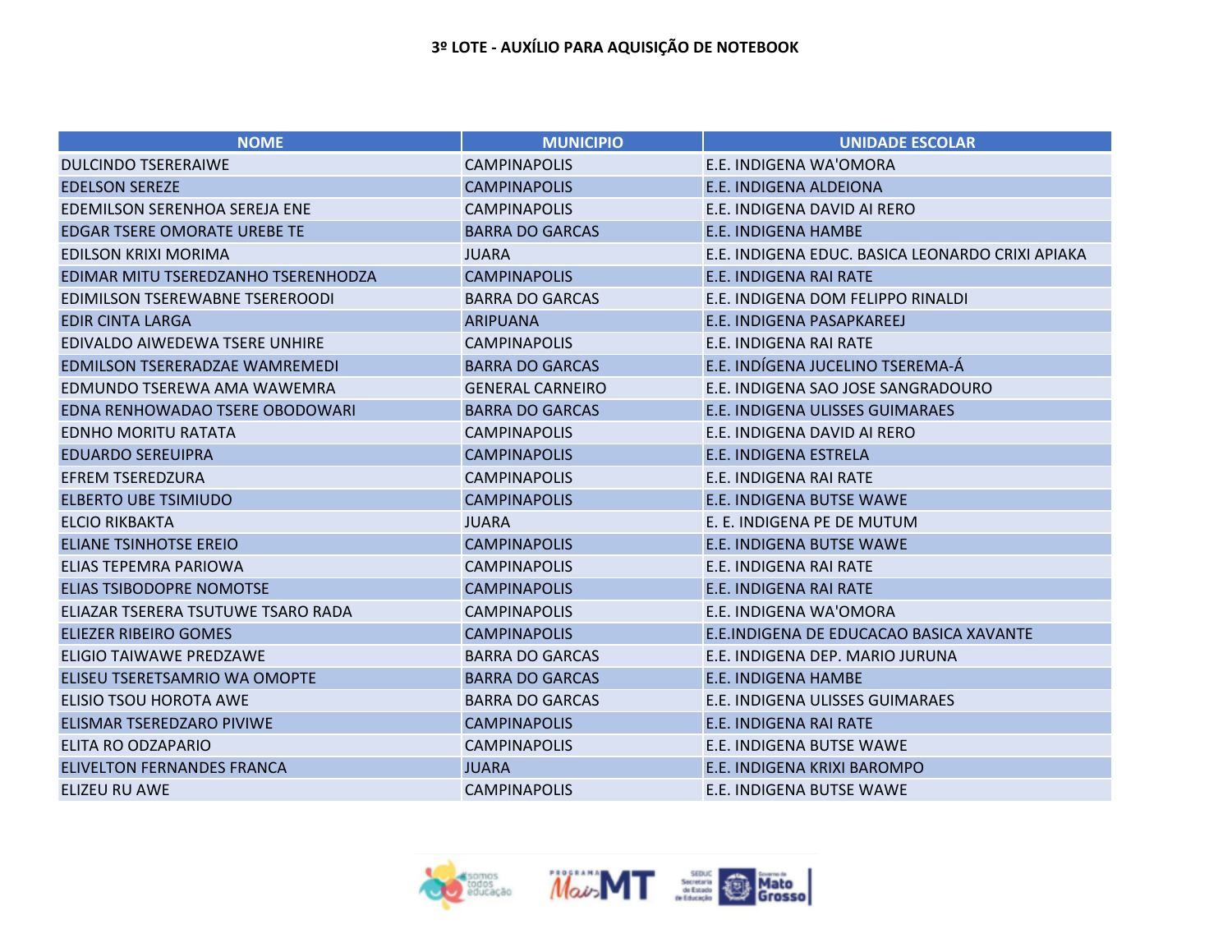| <b>NOME</b>                           | <b>MUNICIPIO</b>        | <b>UNIDADE ESCOLAR</b>                           |
|---------------------------------------|-------------------------|--------------------------------------------------|
| <b>DULCINDO TSERERAIWE</b>            | <b>CAMPINAPOLIS</b>     | E.E. INDIGENA WA'OMORA                           |
| <b>EDELSON SEREZE</b>                 | <b>CAMPINAPOLIS</b>     | E.E. INDIGENA ALDEIONA                           |
| <b>EDEMILSON SERENHOA SEREJA ENE</b>  | <b>CAMPINAPOLIS</b>     | E.E. INDIGENA DAVID AI RERO                      |
| <b>EDGAR TSERE OMORATE UREBE TE</b>   | <b>BARRA DO GARCAS</b>  | E.E. INDIGENA HAMBE                              |
| <b>EDILSON KRIXI MORIMA</b>           | <b>JUARA</b>            | E.E. INDIGENA EDUC. BASICA LEONARDO CRIXI APIAKA |
| EDIMAR MITU TSEREDZANHO TSERENHODZA   | <b>CAMPINAPOLIS</b>     | <b>E.E. INDIGENA RAI RATE</b>                    |
| EDIMILSON TSEREWABNE TSEREROODI       | <b>BARRA DO GARCAS</b>  | E.E. INDIGENA DOM FELIPPO RINALDI                |
| <b>EDIR CINTA LARGA</b>               | <b>ARIPUANA</b>         | E.E. INDIGENA PASAPKAREEJ                        |
| EDIVALDO AIWEDEWA TSERE UNHIRE        | <b>CAMPINAPOLIS</b>     | E.E. INDIGENA RAI RATE                           |
| <b>EDMILSON TSERERADZAE WAMREMEDI</b> | <b>BARRA DO GARCAS</b>  | E.E. INDÍGENA JUCELINO TSEREMA-Á                 |
| EDMUNDO TSEREWA AMA WAWEMRA           | <b>GENERAL CARNEIRO</b> | E.E. INDIGENA SAO JOSE SANGRADOURO               |
| EDNA RENHOWADAO TSERE OBODOWARI       | <b>BARRA DO GARCAS</b>  | E.E. INDIGENA ULISSES GUIMARAES                  |
| <b>EDNHO MORITU RATATA</b>            | <b>CAMPINAPOLIS</b>     | E.E. INDIGENA DAVID AI RERO                      |
| <b>EDUARDO SEREUIPRA</b>              | <b>CAMPINAPOLIS</b>     | E.E. INDIGENA ESTRELA                            |
| <b>EFREM TSEREDZURA</b>               | <b>CAMPINAPOLIS</b>     | E.E. INDIGENA RAI RATE                           |
| <b>ELBERTO UBE TSIMIUDO</b>           | <b>CAMPINAPOLIS</b>     | E.E. INDIGENA BUTSE WAWE                         |
| <b>ELCIO RIKBAKTA</b>                 | <b>JUARA</b>            | E. E. INDIGENA PE DE MUTUM                       |
| <b>ELIANE TSINHOTSE EREIO</b>         | <b>CAMPINAPOLIS</b>     | E.E. INDIGENA BUTSE WAWE                         |
| <b>ELIAS TEPEMRA PARIOWA</b>          | <b>CAMPINAPOLIS</b>     | E.E. INDIGENA RAI RATE                           |
| ELIAS TSIBODOPRE NOMOTSE              | <b>CAMPINAPOLIS</b>     | E.E. INDIGENA RAI RATE                           |
| ELIAZAR TSERERA TSUTUWE TSARO RADA    | <b>CAMPINAPOLIS</b>     | E.E. INDIGENA WA'OMORA                           |
| ELIEZER RIBEIRO GOMES                 | <b>CAMPINAPOLIS</b>     | E.E.INDIGENA DE EDUCACAO BASICA XAVANTE          |
| ELIGIO TAIWAWE PREDZAWE               | <b>BARRA DO GARCAS</b>  | E.E. INDIGENA DEP. MARIO JURUNA                  |
| ELISEU TSERETSAMRIO WA OMOPTE         | <b>BARRA DO GARCAS</b>  | E.E. INDIGENA HAMBE                              |
| ELISIO TSOU HOROTA AWE                | <b>BARRA DO GARCAS</b>  | E.E. INDIGENA ULISSES GUIMARAES                  |
| ELISMAR TSEREDZARO PIVIWE             | <b>CAMPINAPOLIS</b>     | <b>E.E. INDIGENA RAI RATE</b>                    |
| ELITA RO ODZAPARIO                    | <b>CAMPINAPOLIS</b>     | E.E. INDIGENA BUTSE WAWE                         |
| <b>ELIVELTON FERNANDES FRANCA</b>     | <b>JUARA</b>            | E.E. INDIGENA KRIXI BAROMPO                      |
| <b>ELIZEU RU AWE</b>                  | <b>CAMPINAPOLIS</b>     | <b>E.E. INDIGENA BUTSE WAWE</b>                  |

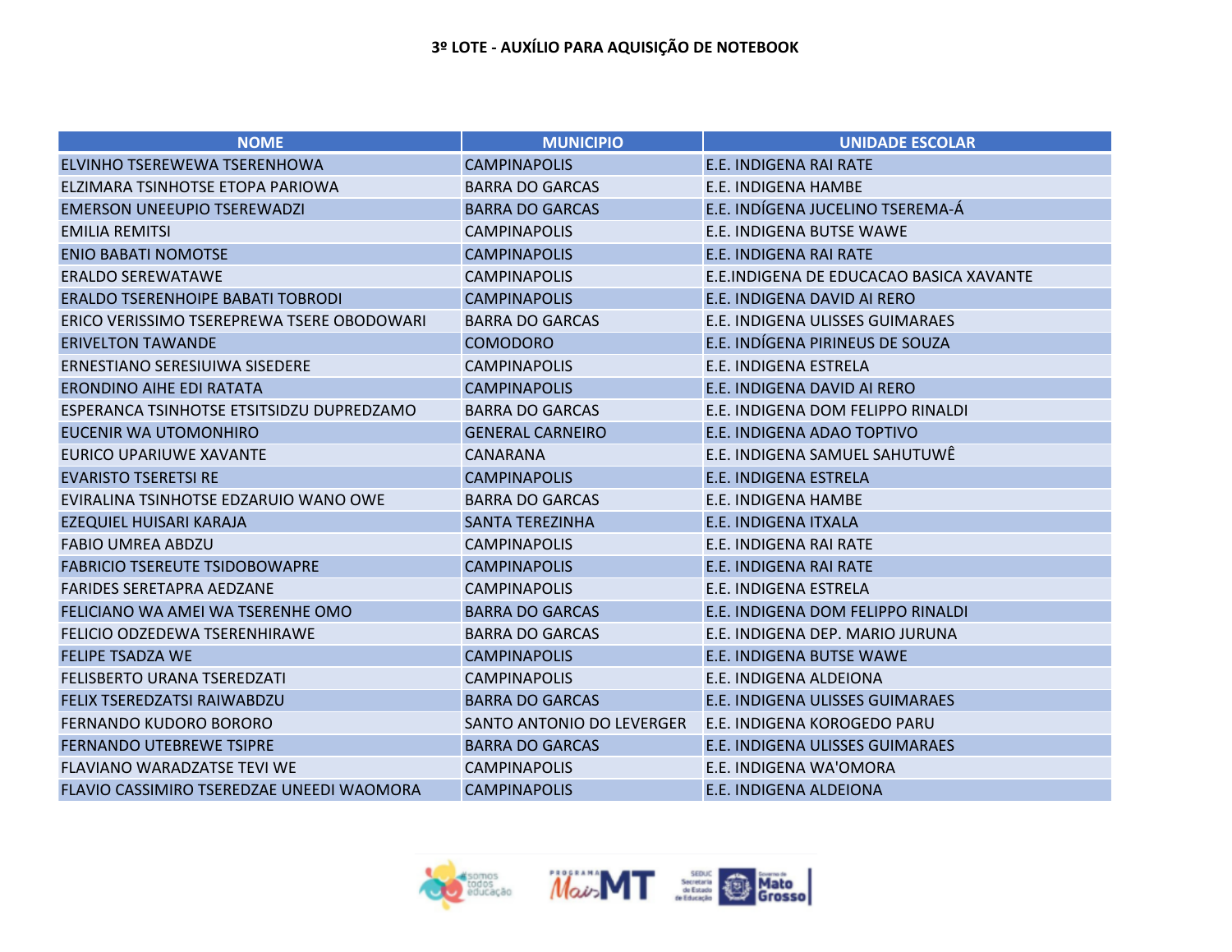| <b>NOME</b>                                | <b>MUNICIPIO</b>          | <b>UNIDADE ESCOLAR</b>                  |
|--------------------------------------------|---------------------------|-----------------------------------------|
| ELVINHO TSEREWEWA TSERENHOWA               | <b>CAMPINAPOLIS</b>       | E.E. INDIGENA RAI RATE                  |
| ELZIMARA TSINHOTSE ETOPA PARIOWA           | <b>BARRA DO GARCAS</b>    | E.E. INDIGENA HAMBE                     |
| <b>EMERSON UNEEUPIO TSEREWADZI</b>         | <b>BARRA DO GARCAS</b>    | E.E. INDÍGENA JUCELINO TSEREMA-Á        |
| <b>EMILIA REMITSI</b>                      | <b>CAMPINAPOLIS</b>       | E.E. INDIGENA BUTSE WAWE                |
| <b>ENIO BABATI NOMOTSE</b>                 | <b>CAMPINAPOLIS</b>       | E.E. INDIGENA RAI RATE                  |
| <b>ERALDO SEREWATAWE</b>                   | <b>CAMPINAPOLIS</b>       | E.E.INDIGENA DE EDUCACAO BASICA XAVANTE |
| <b>ERALDO TSERENHOIPE BABATI TOBRODI</b>   | <b>CAMPINAPOLIS</b>       | E.E. INDIGENA DAVID AI RERO             |
| ERICO VERISSIMO TSEREPREWA TSERE OBODOWARI | <b>BARRA DO GARCAS</b>    | E.E. INDIGENA ULISSES GUIMARAES         |
| <b>ERIVELTON TAWANDE</b>                   | <b>COMODORO</b>           | E.E. INDÍGENA PIRINEUS DE SOUZA         |
| ERNESTIANO SERESIUIWA SISEDERE             | <b>CAMPINAPOLIS</b>       | E.E. INDIGENA ESTRELA                   |
| <b>ERONDINO AIHE EDI RATATA</b>            | <b>CAMPINAPOLIS</b>       | E.E. INDIGENA DAVID AI RERO             |
| ESPERANCA TSINHOTSE ETSITSIDZU DUPREDZAMO  | <b>BARRA DO GARCAS</b>    | E.E. INDIGENA DOM FELIPPO RINALDI       |
| EUCENIR WA UTOMONHIRO                      | <b>GENERAL CARNEIRO</b>   | E.E. INDIGENA ADAO TOPTIVO              |
| EURICO UPARIUWE XAVANTE                    | <b>CANARANA</b>           | E.E. INDIGENA SAMUEL SAHUTUWÊ           |
| <b>EVARISTO TSERETSI RE</b>                | <b>CAMPINAPOLIS</b>       | <b>E.E. INDIGENA ESTRELA</b>            |
| EVIRALINA TSINHOTSE EDZARUIO WANO OWE      | <b>BARRA DO GARCAS</b>    | E.E. INDIGENA HAMBE                     |
| EZEQUIEL HUISARI KARAJA                    | <b>SANTA TEREZINHA</b>    | E.E. INDIGENA ITXALA                    |
| <b>FABIO UMREA ABDZU</b>                   | <b>CAMPINAPOLIS</b>       | E.E. INDIGENA RAI RATE                  |
| <b>FABRICIO TSEREUTE TSIDOBOWAPRE</b>      | <b>CAMPINAPOLIS</b>       | E.E. INDIGENA RAI RATE                  |
| <b>FARIDES SERETAPRA AEDZANE</b>           | <b>CAMPINAPOLIS</b>       | E.E. INDIGENA ESTRELA                   |
| FELICIANO WA AMEI WA TSERENHE OMO          | <b>BARRA DO GARCAS</b>    | E.E. INDIGENA DOM FELIPPO RINALDI       |
| <b>FELICIO ODZEDEWA TSERENHIRAWE</b>       | <b>BARRA DO GARCAS</b>    | E.E. INDIGENA DEP. MARIO JURUNA         |
| <b>FELIPE TSADZA WE</b>                    | <b>CAMPINAPOLIS</b>       | E.E. INDIGENA BUTSE WAWE                |
| <b>FELISBERTO URANA TSEREDZATI</b>         | <b>CAMPINAPOLIS</b>       | E.E. INDIGENA ALDEIONA                  |
| FELIX TSEREDZATSI RAIWABDZU                | <b>BARRA DO GARCAS</b>    | E.E. INDIGENA ULISSES GUIMARAES         |
| <b>FERNANDO KUDORO BORORO</b>              | SANTO ANTONIO DO LEVERGER | E.E. INDIGENA KOROGEDO PARU             |
| <b>FERNANDO UTEBREWE TSIPRE</b>            | <b>BARRA DO GARCAS</b>    | E.E. INDIGENA ULISSES GUIMARAES         |
| <b>FLAVIANO WARADZATSE TEVI WE</b>         | <b>CAMPINAPOLIS</b>       | E.E. INDIGENA WA'OMORA                  |
| FLAVIO CASSIMIRO TSEREDZAE UNEEDI WAOMORA  | <b>CAMPINAPOLIS</b>       | E.E. INDIGENA ALDEIONA                  |

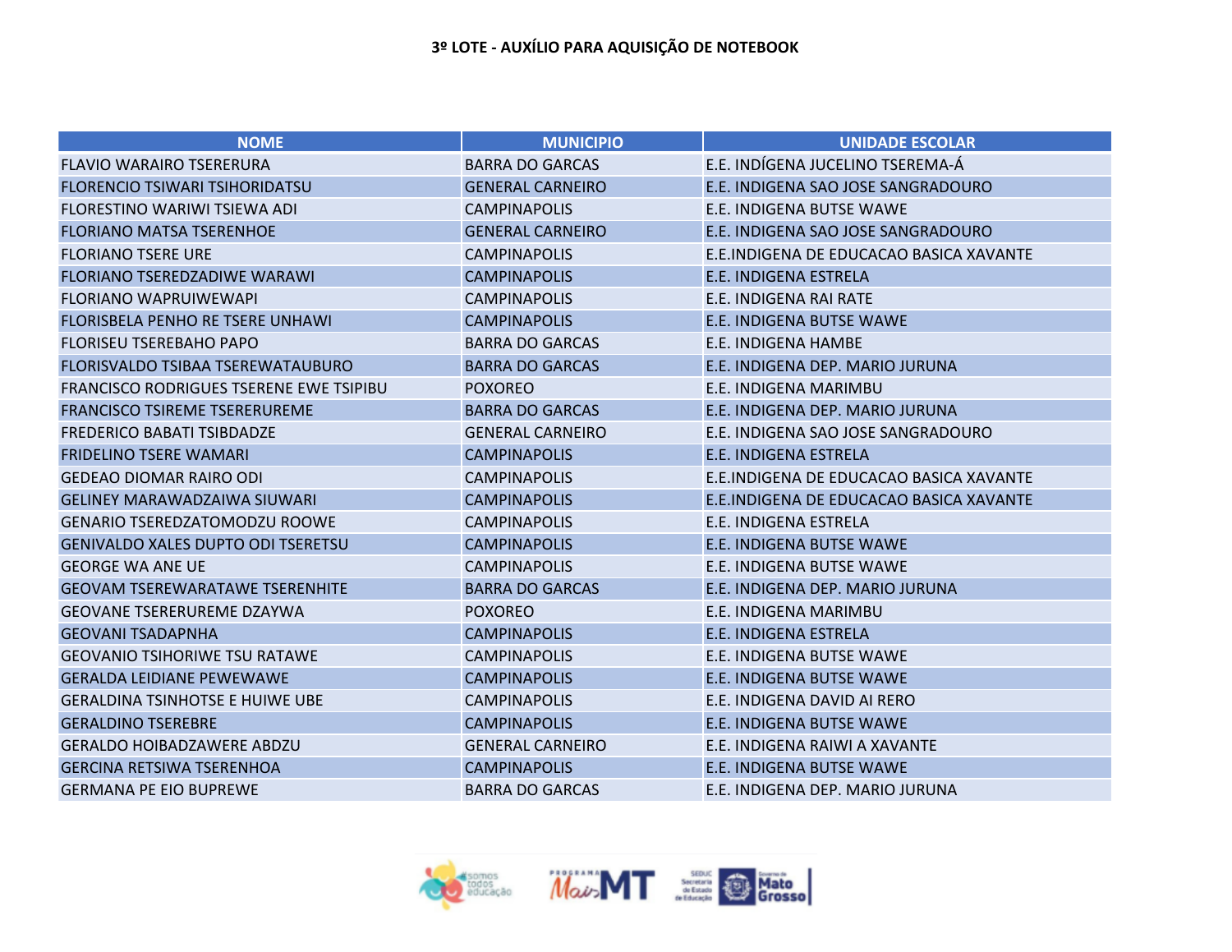| <b>NOME</b>                                    | <b>MUNICIPIO</b>        | <b>UNIDADE ESCOLAR</b>                  |
|------------------------------------------------|-------------------------|-----------------------------------------|
| <b>FLAVIO WARAIRO TSERERURA</b>                | <b>BARRA DO GARCAS</b>  | E.E. INDÍGENA JUCELINO TSEREMA-Á        |
| FLORENCIO TSIWARI TSIHORIDATSU                 | <b>GENERAL CARNEIRO</b> | E.E. INDIGENA SAO JOSE SANGRADOURO      |
| FLORESTINO WARIWI TSIEWA ADI                   | <b>CAMPINAPOLIS</b>     | E.E. INDIGENA BUTSE WAWE                |
| <b>FLORIANO MATSA TSERENHOE</b>                | <b>GENERAL CARNEIRO</b> | E.E. INDIGENA SAO JOSE SANGRADOURO      |
| <b>FLORIANO TSERE URE</b>                      | <b>CAMPINAPOLIS</b>     | E.E.INDIGENA DE EDUCACAO BASICA XAVANTE |
| FLORIANO TSEREDZADIWE WARAWI                   | <b>CAMPINAPOLIS</b>     | <b>E.E. INDIGENA ESTRELA</b>            |
| <b>FLORIANO WAPRUIWEWAPI</b>                   | <b>CAMPINAPOLIS</b>     | E.E. INDIGENA RAI RATE                  |
| FLORISBELA PENHO RE TSERE UNHAWI               | <b>CAMPINAPOLIS</b>     | <b>E.E. INDIGENA BUTSE WAWE</b>         |
| <b>FLORISEU TSEREBAHO PAPO</b>                 | <b>BARRA DO GARCAS</b>  | E.E. INDIGENA HAMBE                     |
| FLORISVALDO TSIBAA TSEREWATAUBURO              | <b>BARRA DO GARCAS</b>  | E.E. INDIGENA DEP. MARIO JURUNA         |
| <b>FRANCISCO RODRIGUES TSERENE EWE TSIPIBU</b> | <b>POXOREO</b>          | E.E. INDIGENA MARIMBU                   |
| <b>FRANCISCO TSIREME TSERERUREME</b>           | <b>BARRA DO GARCAS</b>  | E.E. INDIGENA DEP. MARIO JURUNA         |
| <b>FREDERICO BABATI TSIBDADZE</b>              | <b>GENERAL CARNEIRO</b> | E.E. INDIGENA SAO JOSE SANGRADOURO      |
| <b>FRIDELINO TSERE WAMARI</b>                  | <b>CAMPINAPOLIS</b>     | <b>E.E. INDIGENA ESTRELA</b>            |
| <b>GEDEAO DIOMAR RAIRO ODI</b>                 | <b>CAMPINAPOLIS</b>     | E.E.INDIGENA DE EDUCACAO BASICA XAVANTE |
| <b>GELINEY MARAWADZAIWA SIUWARI</b>            | <b>CAMPINAPOLIS</b>     | E.E.INDIGENA DE EDUCACAO BASICA XAVANTE |
| <b>GENARIO TSEREDZATOMODZU ROOWE</b>           | <b>CAMPINAPOLIS</b>     | E.E. INDIGENA ESTRELA                   |
| <b>GENIVALDO XALES DUPTO ODI TSERETSU</b>      | <b>CAMPINAPOLIS</b>     | E.E. INDIGENA BUTSE WAWE                |
| <b>GEORGE WA ANE UE</b>                        | <b>CAMPINAPOLIS</b>     | E.E. INDIGENA BUTSE WAWE                |
| <b>GEOVAM TSEREWARATAWE TSERENHITE</b>         | <b>BARRA DO GARCAS</b>  | E.E. INDIGENA DEP. MARIO JURUNA         |
| <b>GEOVANE TSERERUREME DZAYWA</b>              | <b>POXOREO</b>          | E.E. INDIGENA MARIMBU                   |
| <b>GEOVANI TSADAPNHA</b>                       | <b>CAMPINAPOLIS</b>     | E.E. INDIGENA ESTRELA                   |
| <b>GEOVANIO TSIHORIWE TSU RATAWE</b>           | <b>CAMPINAPOLIS</b>     | E.E. INDIGENA BUTSE WAWE                |
| <b>GERALDA LEIDIANE PEWEWAWE</b>               | <b>CAMPINAPOLIS</b>     | E.E. INDIGENA BUTSE WAWE                |
| <b>GERALDINA TSINHOTSE E HUIWE UBE</b>         | <b>CAMPINAPOLIS</b>     | E.E. INDIGENA DAVID AI RERO             |
| <b>GERALDINO TSEREBRE</b>                      | <b>CAMPINAPOLIS</b>     | E.E. INDIGENA BUTSE WAWE                |
| <b>GERALDO HOIBADZAWERE ABDZU</b>              | <b>GENERAL CARNEIRO</b> | E.E. INDIGENA RAIWI A XAVANTE           |
| <b>GERCINA RETSIWA TSERENHOA</b>               | <b>CAMPINAPOLIS</b>     | E.E. INDIGENA BUTSE WAWE                |
| <b>GERMANA PE EIO BUPREWE</b>                  | <b>BARRA DO GARCAS</b>  | E.E. INDIGENA DEP. MARIO JURUNA         |

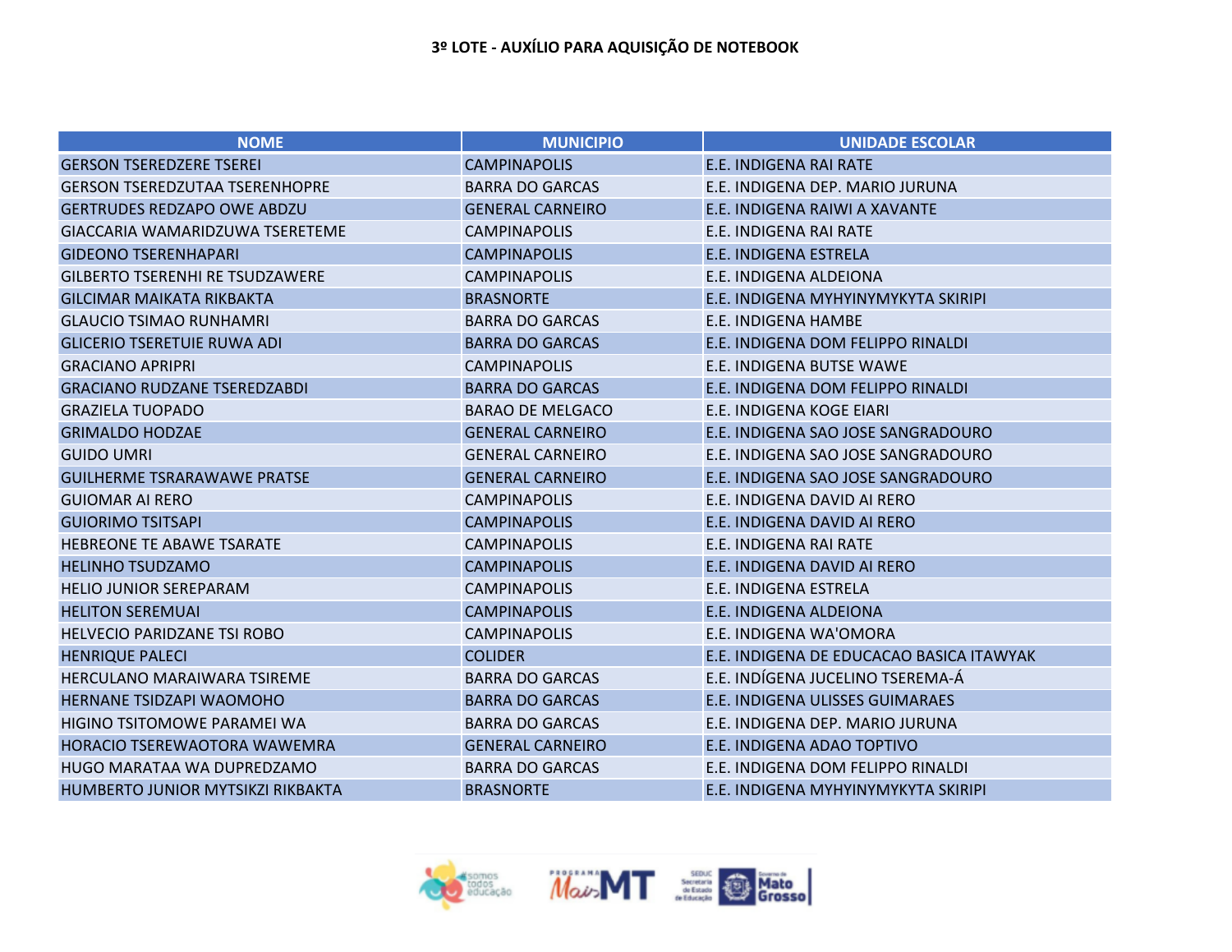| <b>NOME</b>                            | <b>MUNICIPIO</b>        | <b>UNIDADE ESCOLAR</b>                   |
|----------------------------------------|-------------------------|------------------------------------------|
| <b>GERSON TSEREDZERE TSEREI</b>        | <b>CAMPINAPOLIS</b>     | <b>E.E. INDIGENA RAI RATE</b>            |
| <b>GERSON TSEREDZUTAA TSERENHOPRE</b>  | <b>BARRA DO GARCAS</b>  | E.E. INDIGENA DEP. MARIO JURUNA          |
| <b>GERTRUDES REDZAPO OWE ABDZU</b>     | <b>GENERAL CARNEIRO</b> | E.E. INDIGENA RAIWI A XAVANTE            |
| GIACCARIA WAMARIDZUWA TSERETEME        | <b>CAMPINAPOLIS</b>     | E.E. INDIGENA RAI RATE                   |
| <b>GIDEONO TSERENHAPARI</b>            | <b>CAMPINAPOLIS</b>     | <b>E.E. INDIGENA ESTRELA</b>             |
| <b>GILBERTO TSERENHI RE TSUDZAWERE</b> | <b>CAMPINAPOLIS</b>     | E.E. INDIGENA ALDEIONA                   |
| <b>GILCIMAR MAIKATA RIKBAKTA</b>       | <b>BRASNORTE</b>        | E.E. INDIGENA MYHYINYMYKYTA SKIRIPI      |
| <b>GLAUCIO TSIMAO RUNHAMRI</b>         | <b>BARRA DO GARCAS</b>  | E.E. INDIGENA HAMBE                      |
| <b>GLICERIO TSERETUIE RUWA ADI</b>     | <b>BARRA DO GARCAS</b>  | E.E. INDIGENA DOM FELIPPO RINALDI        |
| <b>GRACIANO APRIPRI</b>                | <b>CAMPINAPOLIS</b>     | E.E. INDIGENA BUTSE WAWE                 |
| <b>GRACIANO RUDZANE TSEREDZABDI</b>    | <b>BARRA DO GARCAS</b>  | E.E. INDIGENA DOM FELIPPO RINALDI        |
| <b>GRAZIELA TUOPADO</b>                | <b>BARAO DE MELGACO</b> | E.E. INDIGENA KOGE EIARI                 |
| <b>GRIMALDO HODZAE</b>                 | <b>GENERAL CARNEIRO</b> | E.E. INDIGENA SAO JOSE SANGRADOURO       |
| <b>GUIDO UMRI</b>                      | <b>GENERAL CARNEIRO</b> | E.E. INDIGENA SAO JOSE SANGRADOURO       |
| <b>GUILHERME TSRARAWAWE PRATSE</b>     | <b>GENERAL CARNEIRO</b> | E.E. INDIGENA SAO JOSE SANGRADOURO       |
| <b>GUIOMAR AI RERO</b>                 | <b>CAMPINAPOLIS</b>     | E.E. INDIGENA DAVID AI RERO              |
| <b>GUIORIMO TSITSAPI</b>               | <b>CAMPINAPOLIS</b>     | E.E. INDIGENA DAVID AI RERO              |
| <b>HEBREONE TE ABAWE TSARATE</b>       | <b>CAMPINAPOLIS</b>     | E.E. INDIGENA RAI RATE                   |
| <b>HELINHO TSUDZAMO</b>                | <b>CAMPINAPOLIS</b>     | E.E. INDIGENA DAVID AI RERO              |
| <b>HELIO JUNIOR SEREPARAM</b>          | <b>CAMPINAPOLIS</b>     | E.E. INDIGENA ESTRELA                    |
| <b>HELITON SEREMUAI</b>                | <b>CAMPINAPOLIS</b>     | E.E. INDIGENA ALDEIONA                   |
| <b>HELVECIO PARIDZANE TSI ROBO</b>     | <b>CAMPINAPOLIS</b>     | E.E. INDIGENA WA'OMORA                   |
| <b>HENRIQUE PALECI</b>                 | <b>COLIDER</b>          | E.E. INDIGENA DE EDUCACAO BASICA ITAWYAK |
| <b>HERCULANO MARAIWARA TSIREME</b>     | <b>BARRA DO GARCAS</b>  | E.E. INDÍGENA JUCELINO TSEREMA-Á         |
| HERNANE TSIDZAPI WAOMOHO               | <b>BARRA DO GARCAS</b>  | E.E. INDIGENA ULISSES GUIMARAES          |
| <b>HIGINO TSITOMOWE PARAMEI WA</b>     | <b>BARRA DO GARCAS</b>  | E.E. INDIGENA DEP. MARIO JURUNA          |
| HORACIO TSEREWAOTORA WAWEMRA           | <b>GENERAL CARNEIRO</b> | E.E. INDIGENA ADAO TOPTIVO               |
| HUGO MARATAA WA DUPREDZAMO             | <b>BARRA DO GARCAS</b>  | E.E. INDIGENA DOM FELIPPO RINALDI        |
| HUMBERTO JUNIOR MYTSIKZI RIKBAKTA      | <b>BRASNORTE</b>        | E.E. INDIGENA MYHYINYMYKYTA SKIRIPI      |

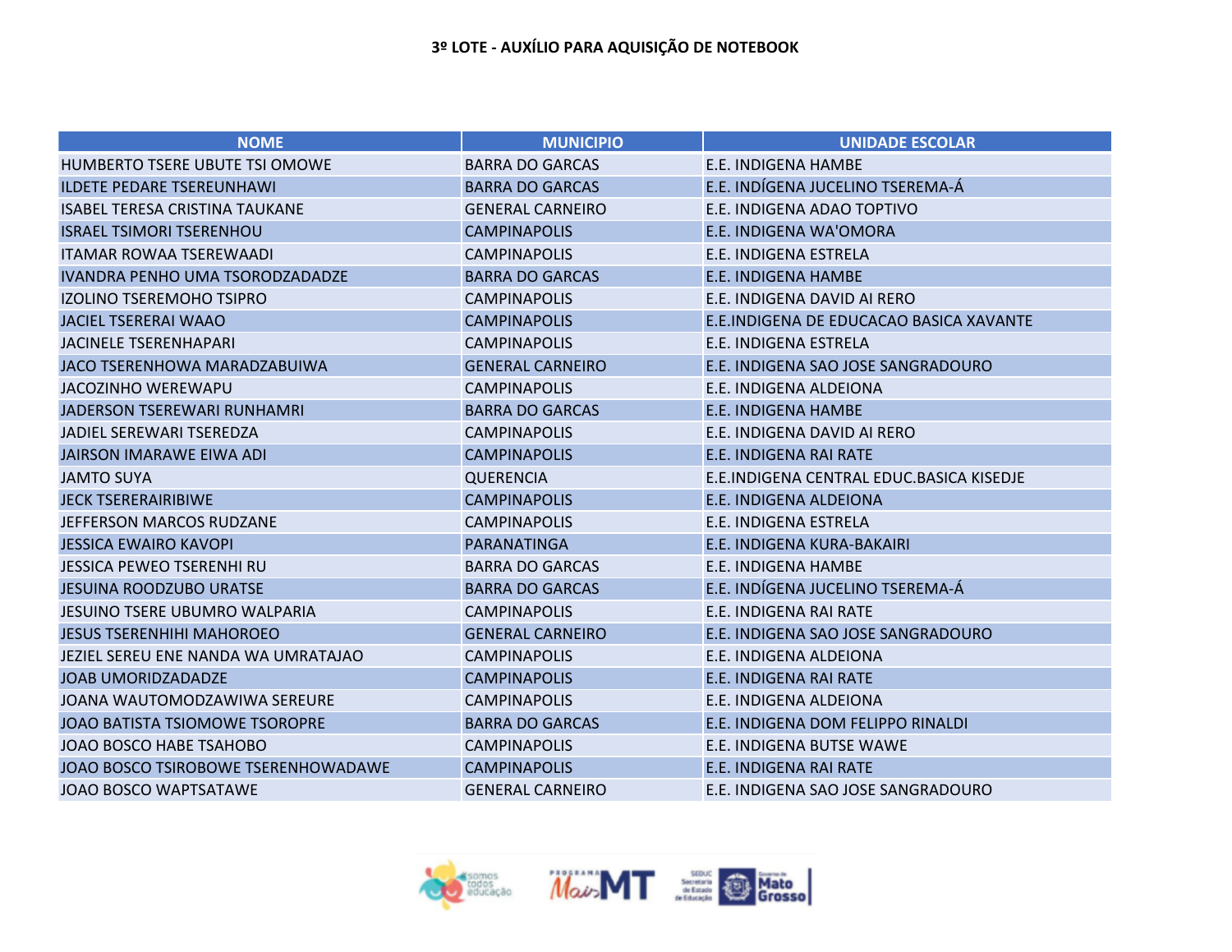| <b>NOME</b>                           | <b>MUNICIPIO</b>        | <b>UNIDADE ESCOLAR</b>                    |
|---------------------------------------|-------------------------|-------------------------------------------|
| HUMBERTO TSERE UBUTE TSI OMOWE        | <b>BARRA DO GARCAS</b>  | E.E. INDIGENA HAMBE                       |
| <b>ILDETE PEDARE TSEREUNHAWI</b>      | <b>BARRA DO GARCAS</b>  | E.E. INDÍGENA JUCELINO TSEREMA-Á          |
| <b>ISABEL TERESA CRISTINA TAUKANE</b> | <b>GENERAL CARNEIRO</b> | E.E. INDIGENA ADAO TOPTIVO                |
| <b>ISRAEL TSIMORI TSERENHOU</b>       | <b>CAMPINAPOLIS</b>     | E.E. INDIGENA WA'OMORA                    |
| <b>ITAMAR ROWAA TSEREWAADI</b>        | <b>CAMPINAPOLIS</b>     | E.E. INDIGENA ESTRELA                     |
| IVANDRA PENHO UMA TSORODZADADZE       | <b>BARRA DO GARCAS</b>  | <b>E.E. INDIGENA HAMBE</b>                |
| <b>IZOLINO TSEREMOHO TSIPRO</b>       | <b>CAMPINAPOLIS</b>     | E.E. INDIGENA DAVID AI RERO               |
| <b>JACIEL TSERERAI WAAO</b>           | <b>CAMPINAPOLIS</b>     | E.E.INDIGENA DE EDUCACAO BASICA XAVANTE   |
| <b>JACINELE TSERENHAPARI</b>          | <b>CAMPINAPOLIS</b>     | E.E. INDIGENA ESTRELA                     |
| JACO TSERENHOWA MARADZABUIWA          | <b>GENERAL CARNEIRO</b> | E.E. INDIGENA SAO JOSE SANGRADOURO        |
| <b>JACOZINHO WEREWAPU</b>             | <b>CAMPINAPOLIS</b>     | E.E. INDIGENA ALDEIONA                    |
| JADERSON TSEREWARI RUNHAMRI           | <b>BARRA DO GARCAS</b>  | E.E. INDIGENA HAMBE                       |
| JADIEL SEREWARI TSEREDZA              | <b>CAMPINAPOLIS</b>     | E.E. INDIGENA DAVID AI RERO               |
| <b>JAIRSON IMARAWE EIWA ADI</b>       | <b>CAMPINAPOLIS</b>     | E.E. INDIGENA RAI RATE                    |
| <b>JAMTO SUYA</b>                     | <b>QUERENCIA</b>        | E.E. INDIGENA CENTRAL EDUC.BASICA KISEDJE |
| <b>JECK TSERERAIRIBIWE</b>            | <b>CAMPINAPOLIS</b>     | <b>E.E. INDIGENA ALDEIONA</b>             |
| JEFFERSON MARCOS RUDZANE              | <b>CAMPINAPOLIS</b>     | E.E. INDIGENA ESTRELA                     |
| <b>JESSICA EWAIRO KAVOPI</b>          | <b>PARANATINGA</b>      | E.E. INDIGENA KURA-BAKAIRI                |
| <b>JESSICA PEWEO TSERENHI RU</b>      | <b>BARRA DO GARCAS</b>  | E.E. INDIGENA HAMBE                       |
| <b>JESUINA ROODZUBO URATSE</b>        | <b>BARRA DO GARCAS</b>  | E.E. INDÍGENA JUCELINO TSEREMA-Á          |
| <b>JESUINO TSERE UBUMRO WALPARIA</b>  | <b>CAMPINAPOLIS</b>     | E.E. INDIGENA RAI RATE                    |
| <b>JESUS TSERENHIHI MAHOROEO</b>      | <b>GENERAL CARNEIRO</b> | E.E. INDIGENA SAO JOSE SANGRADOURO        |
| JEZIEL SEREU ENE NANDA WA UMRATAJAO   | <b>CAMPINAPOLIS</b>     | E.E. INDIGENA ALDEIONA                    |
| <b>JOAB UMORIDZADADZE</b>             | <b>CAMPINAPOLIS</b>     | <b>E.E. INDIGENA RAI RATE</b>             |
| JOANA WAUTOMODZAWIWA SEREURE          | <b>CAMPINAPOLIS</b>     | E.E. INDIGENA ALDEIONA                    |
| JOAO BATISTA TSIOMOWE TSOROPRE        | <b>BARRA DO GARCAS</b>  | E.E. INDIGENA DOM FELIPPO RINALDI         |
| JOAO BOSCO HABE TSAHOBO               | <b>CAMPINAPOLIS</b>     | E.E. INDIGENA BUTSE WAWE                  |
| JOAO BOSCO TSIROBOWE TSERENHOWADAWE   | <b>CAMPINAPOLIS</b>     | <b>E.E. INDIGENA RAI RATE</b>             |
| <b>JOAO BOSCO WAPTSATAWE</b>          | <b>GENERAL CARNEIRO</b> | E.E. INDIGENA SAO JOSE SANGRADOURO        |

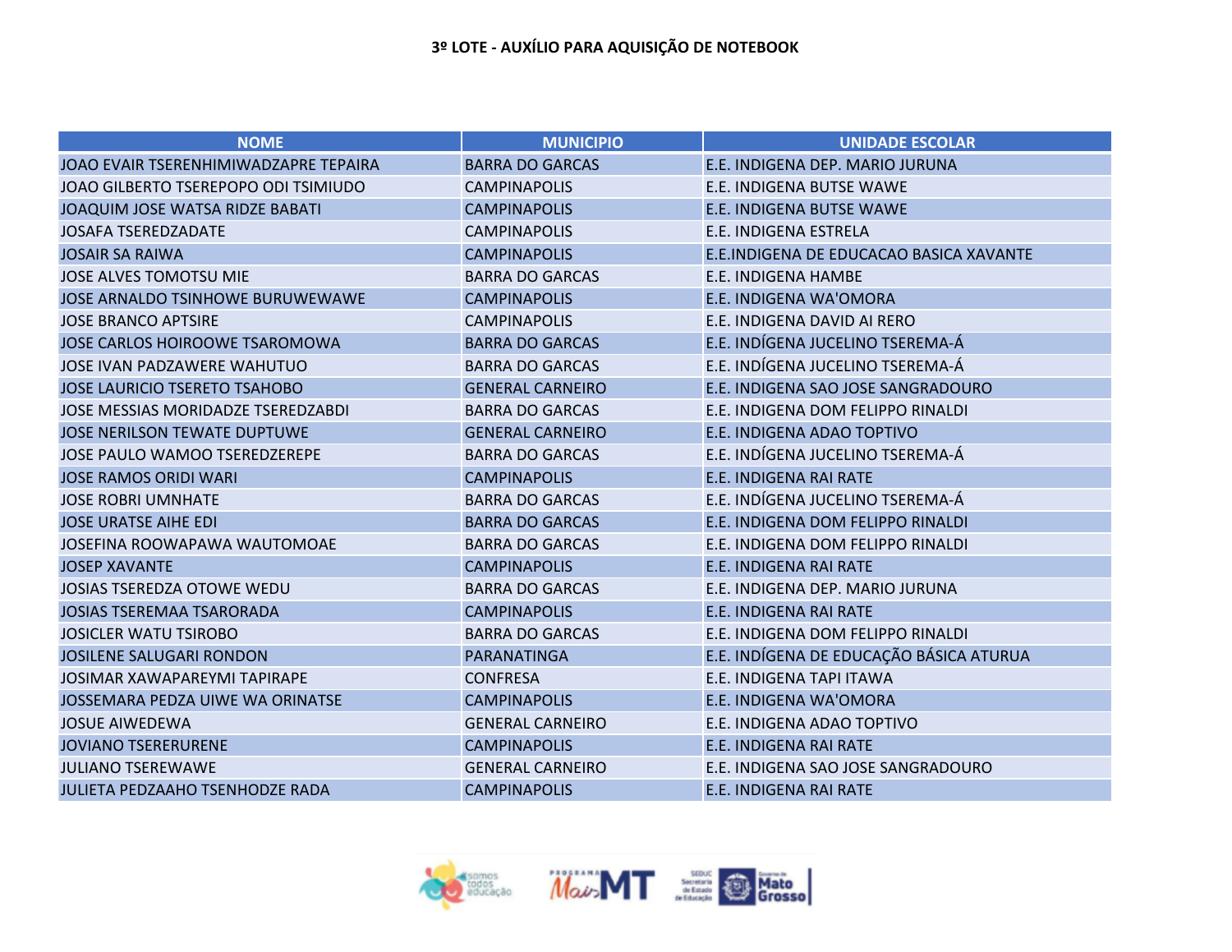| <b>NOME</b>                               | <b>MUNICIPIO</b>        | <b>UNIDADE ESCOLAR</b>                  |
|-------------------------------------------|-------------------------|-----------------------------------------|
| JOAO EVAIR TSERENHIMIWADZAPRE TEPAIRA     | <b>BARRA DO GARCAS</b>  | E.E. INDIGENA DEP. MARIO JURUNA         |
| JOAO GILBERTO TSEREPOPO ODI TSIMIUDO      | <b>CAMPINAPOLIS</b>     | E.E. INDIGENA BUTSE WAWE                |
| JOAQUIM JOSE WATSA RIDZE BABATI           | <b>CAMPINAPOLIS</b>     | <b>E.E. INDIGENA BUTSE WAWE</b>         |
| <b>JOSAFA TSEREDZADATE</b>                | <b>CAMPINAPOLIS</b>     | E.E. INDIGENA ESTRELA                   |
| <b>JOSAIR SA RAIWA</b>                    | <b>CAMPINAPOLIS</b>     | E.E.INDIGENA DE EDUCACAO BASICA XAVANTE |
| <b>JOSE ALVES TOMOTSU MIE</b>             | <b>BARRA DO GARCAS</b>  | <b>E.E. INDIGENA HAMBE</b>              |
| <b>JOSE ARNALDO TSINHOWE BURUWEWAWE</b>   | <b>CAMPINAPOLIS</b>     | E.E. INDIGENA WA'OMORA                  |
| <b>JOSE BRANCO APTSIRE</b>                | <b>CAMPINAPOLIS</b>     | E.E. INDIGENA DAVID AI RERO             |
| JOSE CARLOS HOIROOWE TSAROMOWA            | <b>BARRA DO GARCAS</b>  | E.E. INDÍGENA JUCELINO TSEREMA-Á        |
| <b>JOSE IVAN PADZAWERE WAHUTUO</b>        | <b>BARRA DO GARCAS</b>  | E.E. INDÍGENA JUCELINO TSEREMA-Á        |
| <b>JOSE LAURICIO TSERETO TSAHOBO</b>      | <b>GENERAL CARNEIRO</b> | E.E. INDIGENA SAO JOSE SANGRADOURO      |
| <b>JOSE MESSIAS MORIDADZE TSEREDZABDI</b> | <b>BARRA DO GARCAS</b>  | E.E. INDIGENA DOM FELIPPO RINALDI       |
| <b>JOSE NERILSON TEWATE DUPTUWE</b>       | <b>GENERAL CARNEIRO</b> | E.E. INDIGENA ADAO TOPTIVO              |
| <b>JOSE PAULO WAMOO TSEREDZEREPE</b>      | <b>BARRA DO GARCAS</b>  | E.E. INDÍGENA JUCELINO TSEREMA-Á        |
| <b>JOSE RAMOS ORIDI WARI</b>              | <b>CAMPINAPOLIS</b>     | <b>E.E. INDIGENA RAI RATE</b>           |
| <b>JOSE ROBRI UMNHATE</b>                 | <b>BARRA DO GARCAS</b>  | E.E. INDÍGENA JUCELINO TSEREMA-Á        |
| <b>JOSE URATSE AIHE EDI</b>               | <b>BARRA DO GARCAS</b>  | E.E. INDIGENA DOM FELIPPO RINALDI       |
| JOSEFINA ROOWAPAWA WAUTOMOAE              | <b>BARRA DO GARCAS</b>  | E.E. INDIGENA DOM FELIPPO RINALDI       |
| <b>JOSEP XAVANTE</b>                      | <b>CAMPINAPOLIS</b>     | <b>E.E. INDIGENA RAI RATE</b>           |
| <b>JOSIAS TSEREDZA OTOWE WEDU</b>         | <b>BARRA DO GARCAS</b>  | E.E. INDIGENA DEP. MARIO JURUNA         |
| <b>JOSIAS TSEREMAA TSARORADA</b>          | <b>CAMPINAPOLIS</b>     | E.E. INDIGENA RAI RATE                  |
| <b>JOSICLER WATU TSIROBO</b>              | <b>BARRA DO GARCAS</b>  | E.E. INDIGENA DOM FELIPPO RINALDI       |
| <b>JOSILENE SALUGARI RONDON</b>           | <b>PARANATINGA</b>      | E.E. INDÍGENA DE EDUCAÇÃO BÁSICA ATURUA |
| <b>JOSIMAR XAWAPAREYMI TAPIRAPE</b>       | <b>CONFRESA</b>         | E.E. INDIGENA TAPI ITAWA                |
| JOSSEMARA PEDZA UIWE WA ORINATSE          | <b>CAMPINAPOLIS</b>     | E.E. INDIGENA WA'OMORA                  |
| <b>JOSUE AIWEDEWA</b>                     | <b>GENERAL CARNEIRO</b> | E.E. INDIGENA ADAO TOPTIVO              |
| <b>JOVIANO TSERERURENE</b>                | <b>CAMPINAPOLIS</b>     | E.E. INDIGENA RAI RATE                  |
| <b>JULIANO TSEREWAWE</b>                  | <b>GENERAL CARNEIRO</b> | E.E. INDIGENA SAO JOSE SANGRADOURO      |
| <b>JULIETA PEDZAAHO TSENHODZE RADA</b>    | <b>CAMPINAPOLIS</b>     | <b>E.E. INDIGENA RAI RATE</b>           |

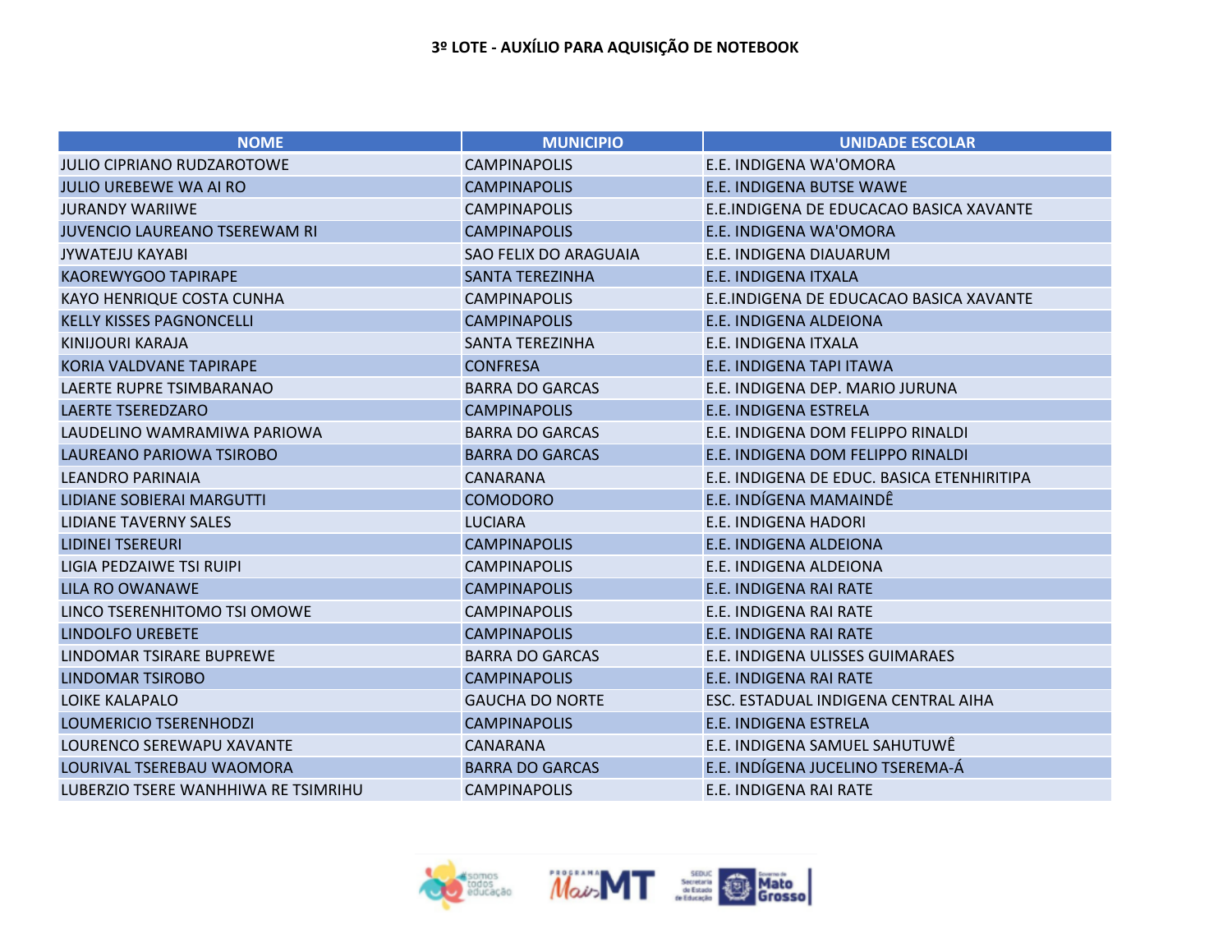| <b>NOME</b>                          | <b>MUNICIPIO</b>             | <b>UNIDADE ESCOLAR</b>                     |
|--------------------------------------|------------------------------|--------------------------------------------|
| <b>JULIO CIPRIANO RUDZAROTOWE</b>    | <b>CAMPINAPOLIS</b>          | E.E. INDIGENA WA'OMORA                     |
| <b>JULIO UREBEWE WA AI RO</b>        | <b>CAMPINAPOLIS</b>          | E.E. INDIGENA BUTSE WAWE                   |
| <b>JURANDY WARIIWE</b>               | <b>CAMPINAPOLIS</b>          | E.E.INDIGENA DE EDUCACAO BASICA XAVANTE    |
| <b>JUVENCIO LAUREANO TSEREWAM RI</b> | <b>CAMPINAPOLIS</b>          | E.E. INDIGENA WA'OMORA                     |
| <b>JYWATEJU KAYABI</b>               | <b>SAO FELIX DO ARAGUAIA</b> | E.E. INDIGENA DIAUARUM                     |
| <b>KAOREWYGOO TAPIRAPE</b>           | <b>SANTA TEREZINHA</b>       | <b>E.E. INDIGENA ITXALA</b>                |
| <b>KAYO HENRIQUE COSTA CUNHA</b>     | <b>CAMPINAPOLIS</b>          | E.E.INDIGENA DE EDUCACAO BASICA XAVANTE    |
| <b>KELLY KISSES PAGNONCELLI</b>      | <b>CAMPINAPOLIS</b>          | E.E. INDIGENA ALDEIONA                     |
| KINIJOURI KARAJA                     | <b>SANTA TEREZINHA</b>       | E.E. INDIGENA ITXALA                       |
| KORIA VALDVANE TAPIRAPE              | <b>CONFRESA</b>              | E.E. INDIGENA TAPI ITAWA                   |
| LAERTE RUPRE TSIMBARANAO             | <b>BARRA DO GARCAS</b>       | E.E. INDIGENA DEP. MARIO JURUNA            |
| <b>LAERTE TSEREDZARO</b>             | <b>CAMPINAPOLIS</b>          | E.E. INDIGENA ESTRELA                      |
| LAUDELINO WAMRAMIWA PARIOWA          | <b>BARRA DO GARCAS</b>       | E.E. INDIGENA DOM FELIPPO RINALDI          |
| LAUREANO PARIOWA TSIROBO             | <b>BARRA DO GARCAS</b>       | E.E. INDIGENA DOM FELIPPO RINALDI          |
| <b>LEANDRO PARINAIA</b>              | <b>CANARANA</b>              | E.E. INDIGENA DE EDUC. BASICA ETENHIRITIPA |
| LIDIANE SOBIERAI MARGUTTI            | <b>COMODORO</b>              | E.E. INDÍGENA MAMAINDÊ                     |
| <b>LIDIANE TAVERNY SALES</b>         | <b>LUCIARA</b>               | <b>E.E. INDIGENA HADORI</b>                |
| <b>LIDINEI TSEREURI</b>              | <b>CAMPINAPOLIS</b>          | E.E. INDIGENA ALDEIONA                     |
| LIGIA PEDZAIWE TSI RUIPI             | <b>CAMPINAPOLIS</b>          | E.E. INDIGENA ALDEIONA                     |
| <b>LILA RO OWANAWE</b>               | <b>CAMPINAPOLIS</b>          | E.E. INDIGENA RAI RATE                     |
| LINCO TSERENHITOMO TSI OMOWE         | <b>CAMPINAPOLIS</b>          | E.E. INDIGENA RAI RATE                     |
| <b>LINDOLFO UREBETE</b>              | <b>CAMPINAPOLIS</b>          | E.E. INDIGENA RAI RATE                     |
| LINDOMAR TSIRARE BUPREWE             | <b>BARRA DO GARCAS</b>       | E.E. INDIGENA ULISSES GUIMARAES            |
| <b>LINDOMAR TSIROBO</b>              | <b>CAMPINAPOLIS</b>          | E.E. INDIGENA RAI RATE                     |
| <b>LOIKE KALAPALO</b>                | <b>GAUCHA DO NORTE</b>       | ESC. ESTADUAL INDIGENA CENTRAL AIHA        |
| LOUMERICIO TSERENHODZI               | <b>CAMPINAPOLIS</b>          | <b>E.E. INDIGENA ESTRELA</b>               |
| LOURENCO SEREWAPU XAVANTE            | <b>CANARANA</b>              | E.E. INDIGENA SAMUEL SAHUTUWÊ              |
| LOURIVAL TSEREBAU WAOMORA            | <b>BARRA DO GARCAS</b>       | E.E. INDÍGENA JUCELINO TSEREMA-Á           |
| LUBERZIO TSERE WANHHIWA RE TSIMRIHU  | <b>CAMPINAPOLIS</b>          | E.E. INDIGENA RAI RATE                     |

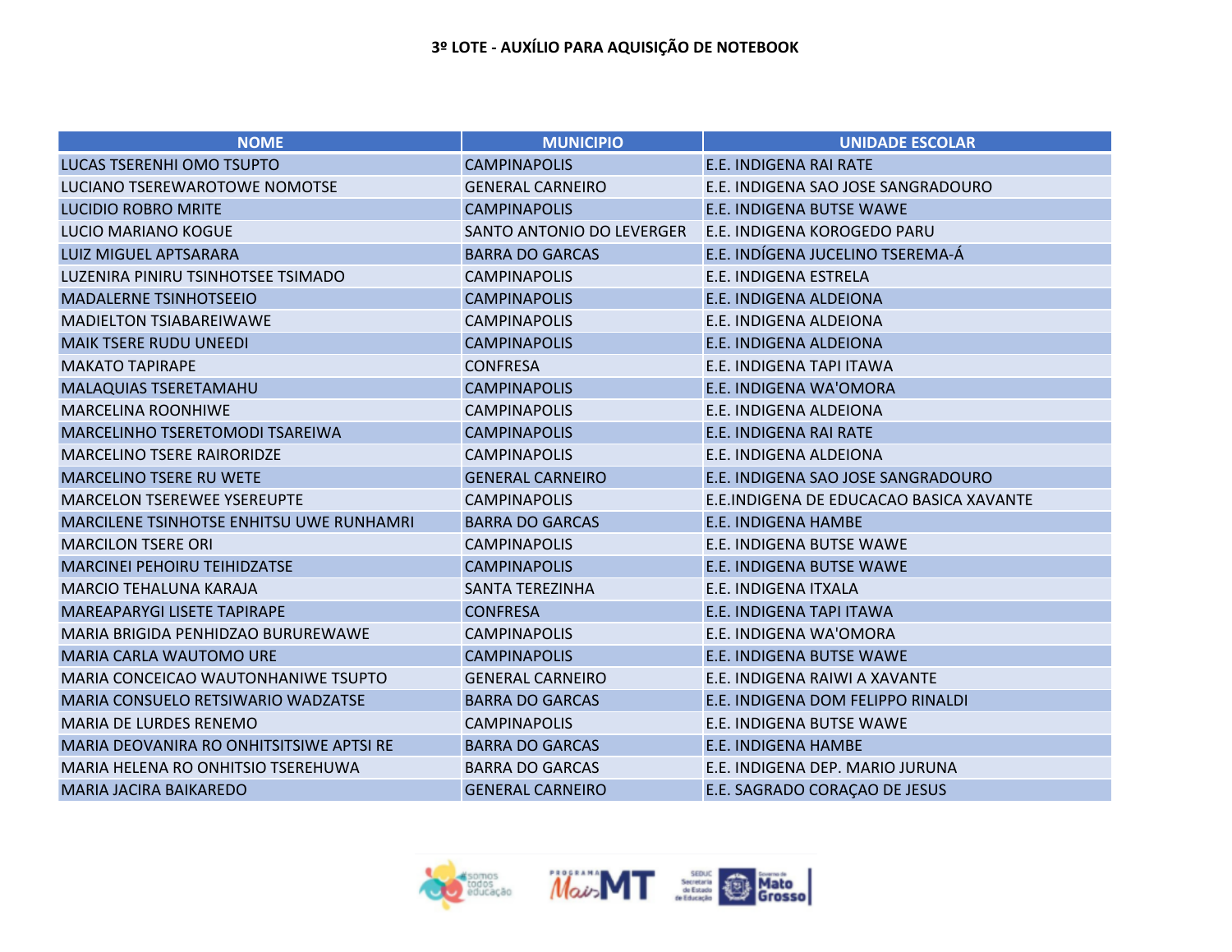| <b>NOME</b>                                     | <b>MUNICIPIO</b>          | <b>UNIDADE ESCOLAR</b>                  |
|-------------------------------------------------|---------------------------|-----------------------------------------|
| <b>LUCAS TSERENHI OMO TSUPTO</b>                | <b>CAMPINAPOLIS</b>       | E.E. INDIGENA RAI RATE                  |
| LUCIANO TSEREWAROTOWE NOMOTSE                   | <b>GENERAL CARNEIRO</b>   | E.E. INDIGENA SAO JOSE SANGRADOURO      |
| <b>LUCIDIO ROBRO MRITE</b>                      | <b>CAMPINAPOLIS</b>       | <b>E.E. INDIGENA BUTSE WAWE</b>         |
| <b>LUCIO MARIANO KOGUE</b>                      | SANTO ANTONIO DO LEVERGER | E.E. INDIGENA KOROGEDO PARU             |
| <b>LUIZ MIGUEL APTSARARA</b>                    | <b>BARRA DO GARCAS</b>    | E.E. INDÍGENA JUCELINO TSEREMA-Á        |
| LUZENIRA PINIRU TSINHOTSEE TSIMADO              | <b>CAMPINAPOLIS</b>       | E.E. INDIGENA ESTRELA                   |
| <b>MADALERNE TSINHOTSEEIO</b>                   | <b>CAMPINAPOLIS</b>       | E.E. INDIGENA ALDEIONA                  |
| <b>MADIELTON TSIABAREIWAWE</b>                  | <b>CAMPINAPOLIS</b>       | E.E. INDIGENA ALDEIONA                  |
| <b>MAIK TSERE RUDU UNEEDI</b>                   | <b>CAMPINAPOLIS</b>       | E.E. INDIGENA ALDEIONA                  |
| <b>MAKATO TAPIRAPE</b>                          | <b>CONFRESA</b>           | E.E. INDIGENA TAPI ITAWA                |
| MALAQUIAS TSERETAMAHU                           | <b>CAMPINAPOLIS</b>       | E.E. INDIGENA WA'OMORA                  |
| <b>MARCELINA ROONHIWE</b>                       | <b>CAMPINAPOLIS</b>       | E.E. INDIGENA ALDEIONA                  |
| MARCELINHO TSERETOMODI TSAREIWA                 | <b>CAMPINAPOLIS</b>       | E.E. INDIGENA RAI RATE                  |
| <b>MARCELINO TSERE RAIRORIDZE</b>               | <b>CAMPINAPOLIS</b>       | E.E. INDIGENA ALDEIONA                  |
| <b>MARCELINO TSERE RU WETE</b>                  | <b>GENERAL CARNEIRO</b>   | E.E. INDIGENA SAO JOSE SANGRADOURO      |
| <b>MARCELON TSEREWEE YSEREUPTE</b>              | <b>CAMPINAPOLIS</b>       | E.E.INDIGENA DE EDUCACAO BASICA XAVANTE |
| <b>MARCILENE TSINHOTSE ENHITSU UWE RUNHAMRI</b> | <b>BARRA DO GARCAS</b>    | E.E. INDIGENA HAMBE                     |
| <b>MARCILON TSERE ORI</b>                       | <b>CAMPINAPOLIS</b>       | E.E. INDIGENA BUTSE WAWE                |
| <b>MARCINEI PEHOIRU TEIHIDZATSE</b>             | <b>CAMPINAPOLIS</b>       | E.E. INDIGENA BUTSE WAWE                |
| <b>MARCIO TEHALUNA KARAJA</b>                   | <b>SANTA TEREZINHA</b>    | E.E. INDIGENA ITXALA                    |
| MAREAPARYGI LISETE TAPIRAPE                     | <b>CONFRESA</b>           | E.E. INDIGENA TAPI ITAWA                |
| MARIA BRIGIDA PENHIDZAO BURUREWAWE              | <b>CAMPINAPOLIS</b>       | E.E. INDIGENA WA'OMORA                  |
| <b>MARIA CARLA WAUTOMO URE</b>                  | <b>CAMPINAPOLIS</b>       | E.E. INDIGENA BUTSE WAWE                |
| MARIA CONCEICAO WAUTONHANIWE TSUPTO             | <b>GENERAL CARNEIRO</b>   | E.E. INDIGENA RAIWI A XAVANTE           |
| MARIA CONSUELO RETSIWARIO WADZATSE              | <b>BARRA DO GARCAS</b>    | E.E. INDIGENA DOM FELIPPO RINALDI       |
| <b>MARIA DE LURDES RENEMO</b>                   | <b>CAMPINAPOLIS</b>       | <b>E.E. INDIGENA BUTSE WAWE</b>         |
| MARIA DEOVANIRA RO ONHITSITSIWE APTSI RE        | <b>BARRA DO GARCAS</b>    | <b>E.E. INDIGENA HAMBE</b>              |
| MARIA HELENA RO ONHITSIO TSEREHUWA              | <b>BARRA DO GARCAS</b>    | E.E. INDIGENA DEP. MARIO JURUNA         |
| <b>MARIA JACIRA BAIKAREDO</b>                   | <b>GENERAL CARNEIRO</b>   | E.E. SAGRADO CORAÇÃO DE JESUS           |

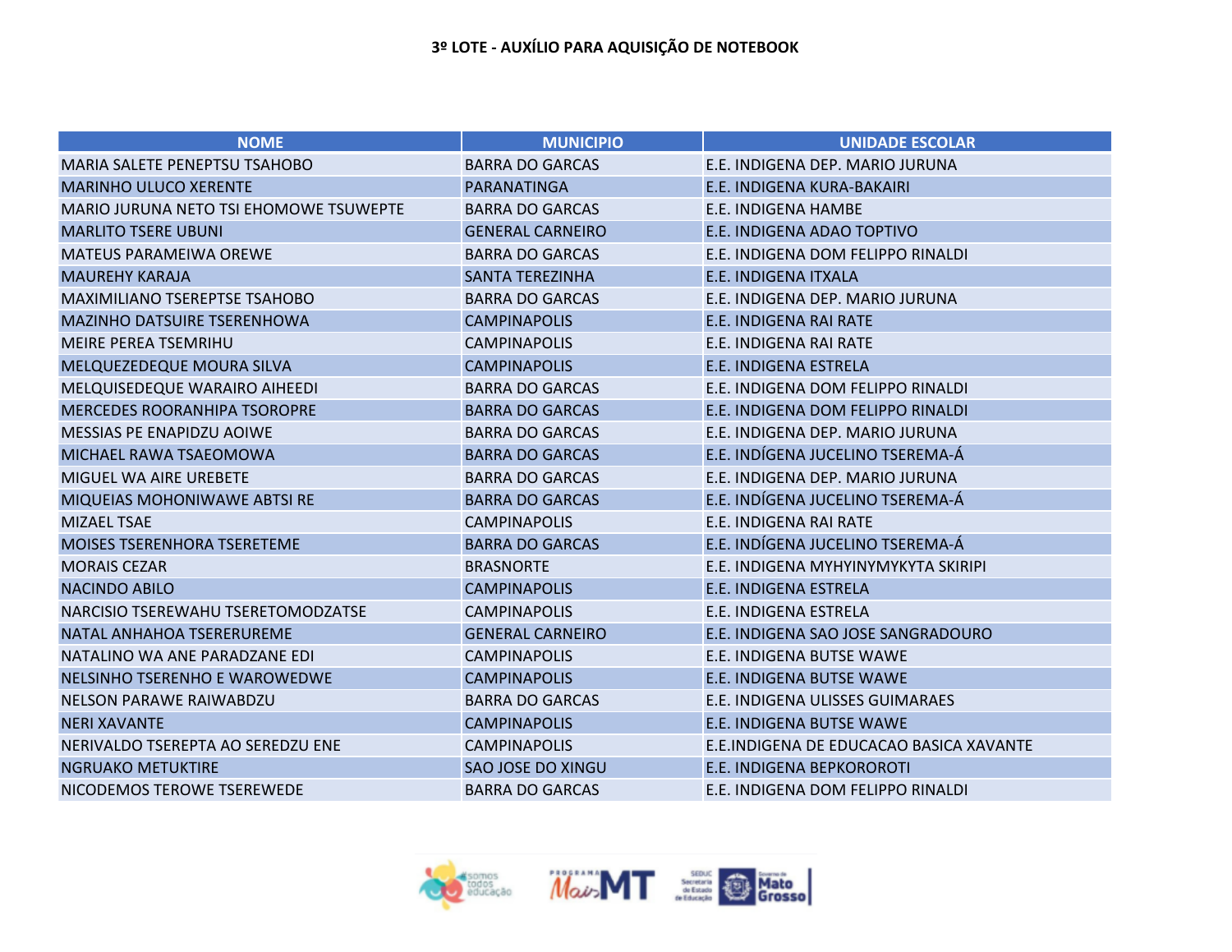| <b>NOME</b>                            | <b>MUNICIPIO</b>         | <b>UNIDADE ESCOLAR</b>                  |
|----------------------------------------|--------------------------|-----------------------------------------|
| MARIA SALETE PENEPTSU TSAHOBO          | <b>BARRA DO GARCAS</b>   | E.E. INDIGENA DEP. MARIO JURUNA         |
| <b>MARINHO ULUCO XERENTE</b>           | <b>PARANATINGA</b>       | E.E. INDIGENA KURA-BAKAIRI              |
| MARIO JURUNA NETO TSI EHOMOWE TSUWEPTE | <b>BARRA DO GARCAS</b>   | E.E. INDIGENA HAMBE                     |
| <b>MARLITO TSERE UBUNI</b>             | <b>GENERAL CARNEIRO</b>  | E.E. INDIGENA ADAO TOPTIVO              |
| <b>MATEUS PARAMEIWA OREWE</b>          | <b>BARRA DO GARCAS</b>   | E.E. INDIGENA DOM FELIPPO RINALDI       |
| <b>MAUREHY KARAJA</b>                  | <b>SANTA TEREZINHA</b>   | E.E. INDIGENA ITXALA                    |
| MAXIMILIANO TSEREPTSE TSAHOBO          | <b>BARRA DO GARCAS</b>   | E.E. INDIGENA DEP. MARIO JURUNA         |
| <b>MAZINHO DATSUIRE TSERENHOWA</b>     | <b>CAMPINAPOLIS</b>      | <b>E.E. INDIGENA RAI RATE</b>           |
| <b>MEIRE PEREA TSEMRIHU</b>            | <b>CAMPINAPOLIS</b>      | E.E. INDIGENA RAI RATE                  |
| MELQUEZEDEQUE MOURA SILVA              | <b>CAMPINAPOLIS</b>      | E.E. INDIGENA ESTRELA                   |
| MELQUISEDEQUE WARAIRO AIHEEDI          | <b>BARRA DO GARCAS</b>   | E.E. INDIGENA DOM FELIPPO RINALDI       |
| <b>MERCEDES ROORANHIPA TSOROPRE</b>    | <b>BARRA DO GARCAS</b>   | E.E. INDIGENA DOM FELIPPO RINALDI       |
| MESSIAS PE ENAPIDZU AOIWE              | <b>BARRA DO GARCAS</b>   | E.E. INDIGENA DEP. MARIO JURUNA         |
| MICHAEL RAWA TSAEOMOWA                 | <b>BARRA DO GARCAS</b>   | E.E. INDÍGENA JUCELINO TSEREMA-Á        |
| <b>MIGUEL WA AIRE UREBETE</b>          | <b>BARRA DO GARCAS</b>   | E.E. INDIGENA DEP. MARIO JURUNA         |
| MIQUEIAS MOHONIWAWE ABTSI RE           | <b>BARRA DO GARCAS</b>   | E.E. INDÍGENA JUCELINO TSEREMA-Á        |
| <b>MIZAEL TSAE</b>                     | <b>CAMPINAPOLIS</b>      | E.E. INDIGENA RAI RATE                  |
| <b>MOISES TSERENHORA TSERETEME</b>     | <b>BARRA DO GARCAS</b>   | E.E. INDÍGENA JUCELINO TSEREMA-Á        |
| <b>MORAIS CEZAR</b>                    | <b>BRASNORTE</b>         | E.E. INDIGENA MYHYINYMYKYTA SKIRIPI     |
| <b>NACINDO ABILO</b>                   | <b>CAMPINAPOLIS</b>      | E.E. INDIGENA ESTRELA                   |
| NARCISIO TSEREWAHU TSERETOMODZATSE     | <b>CAMPINAPOLIS</b>      | E.E. INDIGENA ESTRELA                   |
| NATAL ANHAHOA TSERERUREME              | <b>GENERAL CARNEIRO</b>  | E.E. INDIGENA SAO JOSE SANGRADOURO      |
| NATALINO WA ANE PARADZANE EDI          | <b>CAMPINAPOLIS</b>      | E.E. INDIGENA BUTSE WAWE                |
| NELSINHO TSERENHO E WAROWEDWE          | <b>CAMPINAPOLIS</b>      | E.E. INDIGENA BUTSE WAWE                |
| <b>NELSON PARAWE RAIWABDZU</b>         | <b>BARRA DO GARCAS</b>   | E.E. INDIGENA ULISSES GUIMARAES         |
| <b>NERI XAVANTE</b>                    | <b>CAMPINAPOLIS</b>      | E.E. INDIGENA BUTSE WAWE                |
| NERIVALDO TSEREPTA AO SEREDZU ENE      | <b>CAMPINAPOLIS</b>      | E.E.INDIGENA DE EDUCACAO BASICA XAVANTE |
| <b>NGRUAKO METUKTIRE</b>               | <b>SAO JOSE DO XINGU</b> | E.E. INDIGENA BEPKOROROTI               |
| NICODEMOS TEROWE TSEREWEDE             | <b>BARRA DO GARCAS</b>   | E.E. INDIGENA DOM FELIPPO RINALDI       |

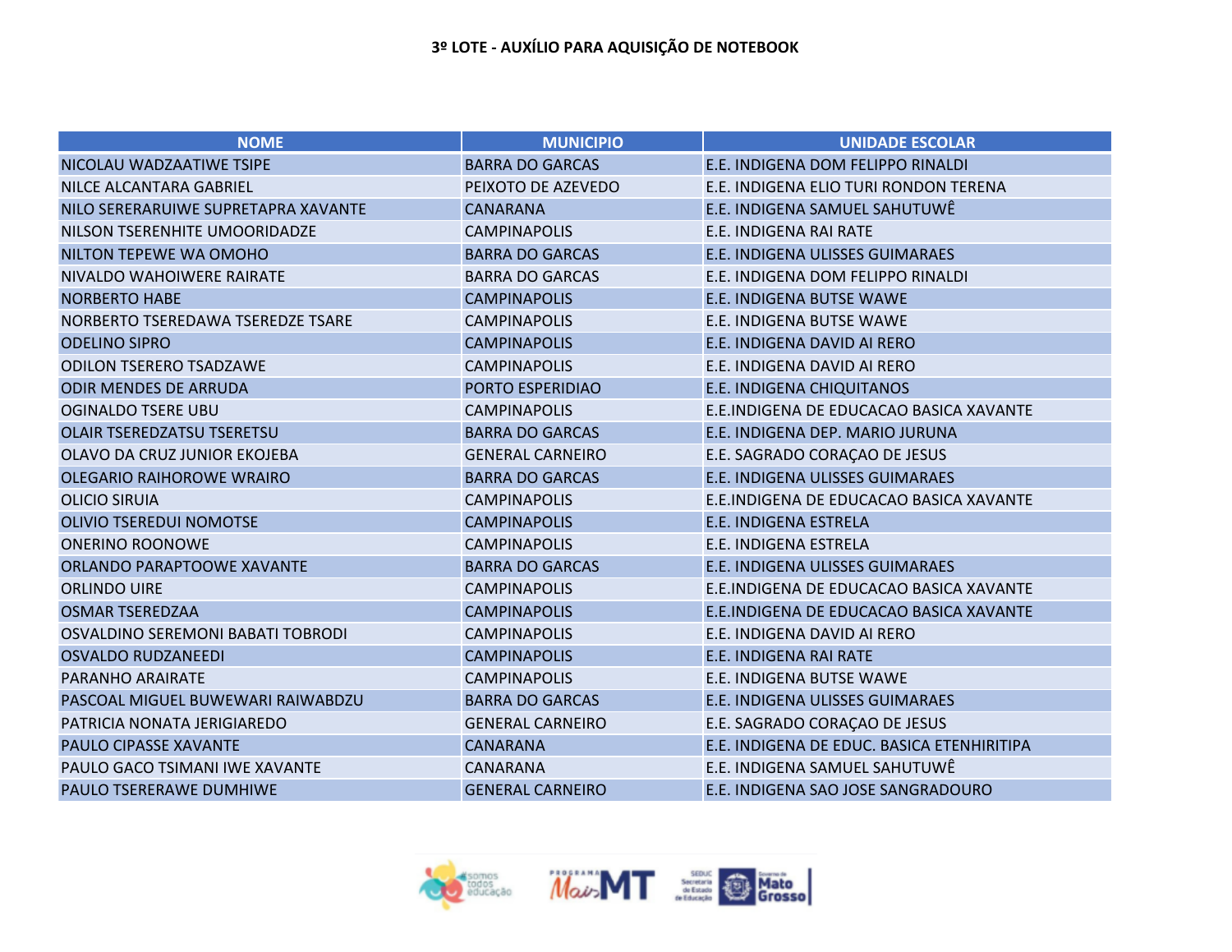| <b>NOME</b>                         | <b>MUNICIPIO</b>        | <b>UNIDADE ESCOLAR</b>                     |
|-------------------------------------|-------------------------|--------------------------------------------|
| NICOLAU WADZAATIWE TSIPE            | <b>BARRA DO GARCAS</b>  | E.E. INDIGENA DOM FELIPPO RINALDI          |
| <b>NILCE ALCANTARA GABRIEL</b>      | PEIXOTO DE AZEVEDO      | E.E. INDIGENA ELIO TURI RONDON TERENA      |
| NILO SERERARUIWE SUPRETAPRA XAVANTE | <b>CANARANA</b>         | E.E. INDIGENA SAMUEL SAHUTUWÊ              |
| NILSON TSERENHITE UMOORIDADZE       | <b>CAMPINAPOLIS</b>     | E.E. INDIGENA RAI RATE                     |
| NILTON TEPEWE WA OMOHO              | <b>BARRA DO GARCAS</b>  | E.E. INDIGENA ULISSES GUIMARAES            |
| NIVALDO WAHOIWERE RAIRATE           | <b>BARRA DO GARCAS</b>  | E.E. INDIGENA DOM FELIPPO RINALDI          |
| <b>NORBERTO HABE</b>                | <b>CAMPINAPOLIS</b>     | E.E. INDIGENA BUTSE WAWE                   |
| NORBERTO TSEREDAWA TSEREDZE TSARE   | <b>CAMPINAPOLIS</b>     | E.E. INDIGENA BUTSE WAWE                   |
| <b>ODELINO SIPRO</b>                | <b>CAMPINAPOLIS</b>     | E.E. INDIGENA DAVID AI RERO                |
| <b>ODILON TSERERO TSADZAWE</b>      | <b>CAMPINAPOLIS</b>     | E.E. INDIGENA DAVID AI RERO                |
| <b>ODIR MENDES DE ARRUDA</b>        | PORTO ESPERIDIAO        | <b>E.E. INDIGENA CHIQUITANOS</b>           |
| <b>OGINALDO TSERE UBU</b>           | <b>CAMPINAPOLIS</b>     | E.E.INDIGENA DE EDUCACAO BASICA XAVANTE    |
| <b>OLAIR TSEREDZATSU TSERETSU</b>   | <b>BARRA DO GARCAS</b>  | E.E. INDIGENA DEP. MARIO JURUNA            |
| OLAVO DA CRUZ JUNIOR EKOJEBA        | <b>GENERAL CARNEIRO</b> | E.E. SAGRADO CORAÇÃO DE JESUS              |
| <b>OLEGARIO RAIHOROWE WRAIRO</b>    | <b>BARRA DO GARCAS</b>  | E.E. INDIGENA ULISSES GUIMARAES            |
| <b>OLICIO SIRUIA</b>                | <b>CAMPINAPOLIS</b>     | E.E.INDIGENA DE EDUCACAO BASICA XAVANTE    |
| <b>OLIVIO TSEREDUI NOMOTSE</b>      | <b>CAMPINAPOLIS</b>     | E.E. INDIGENA ESTRELA                      |
| <b>ONERINO ROONOWE</b>              | <b>CAMPINAPOLIS</b>     | E.E. INDIGENA ESTRELA                      |
| ORLANDO PARAPTOOWE XAVANTE          | <b>BARRA DO GARCAS</b>  | E.E. INDIGENA ULISSES GUIMARAES            |
| <b>ORLINDO UIRE</b>                 | <b>CAMPINAPOLIS</b>     | E.E.INDIGENA DE EDUCACAO BASICA XAVANTE    |
| <b>OSMAR TSEREDZAA</b>              | <b>CAMPINAPOLIS</b>     | E.E.INDIGENA DE EDUCACAO BASICA XAVANTE    |
| OSVALDINO SEREMONI BABATI TOBRODI   | <b>CAMPINAPOLIS</b>     | E.E. INDIGENA DAVID AI RERO                |
| <b>OSVALDO RUDZANEEDI</b>           | <b>CAMPINAPOLIS</b>     | E.E. INDIGENA RAI RATE                     |
| PARANHO ARAIRATE                    | <b>CAMPINAPOLIS</b>     | E.E. INDIGENA BUTSE WAWE                   |
| PASCOAL MIGUEL BUWEWARI RAIWABDZU   | <b>BARRA DO GARCAS</b>  | E.E. INDIGENA ULISSES GUIMARAES            |
| PATRICIA NONATA JERIGIAREDO         | <b>GENERAL CARNEIRO</b> | E.E. SAGRADO CORAÇÃO DE JESUS              |
| <b>PAULO CIPASSE XAVANTE</b>        | <b>CANARANA</b>         | E.E. INDIGENA DE EDUC. BASICA ETENHIRITIPA |
| PAULO GACO TSIMANI IWE XAVANTE      | <b>CANARANA</b>         | E.E. INDIGENA SAMUEL SAHUTUWÊ              |
| <b>PAULO TSERERAWE DUMHIWE</b>      | <b>GENERAL CARNEIRO</b> | E.E. INDIGENA SAO JOSE SANGRADOURO         |

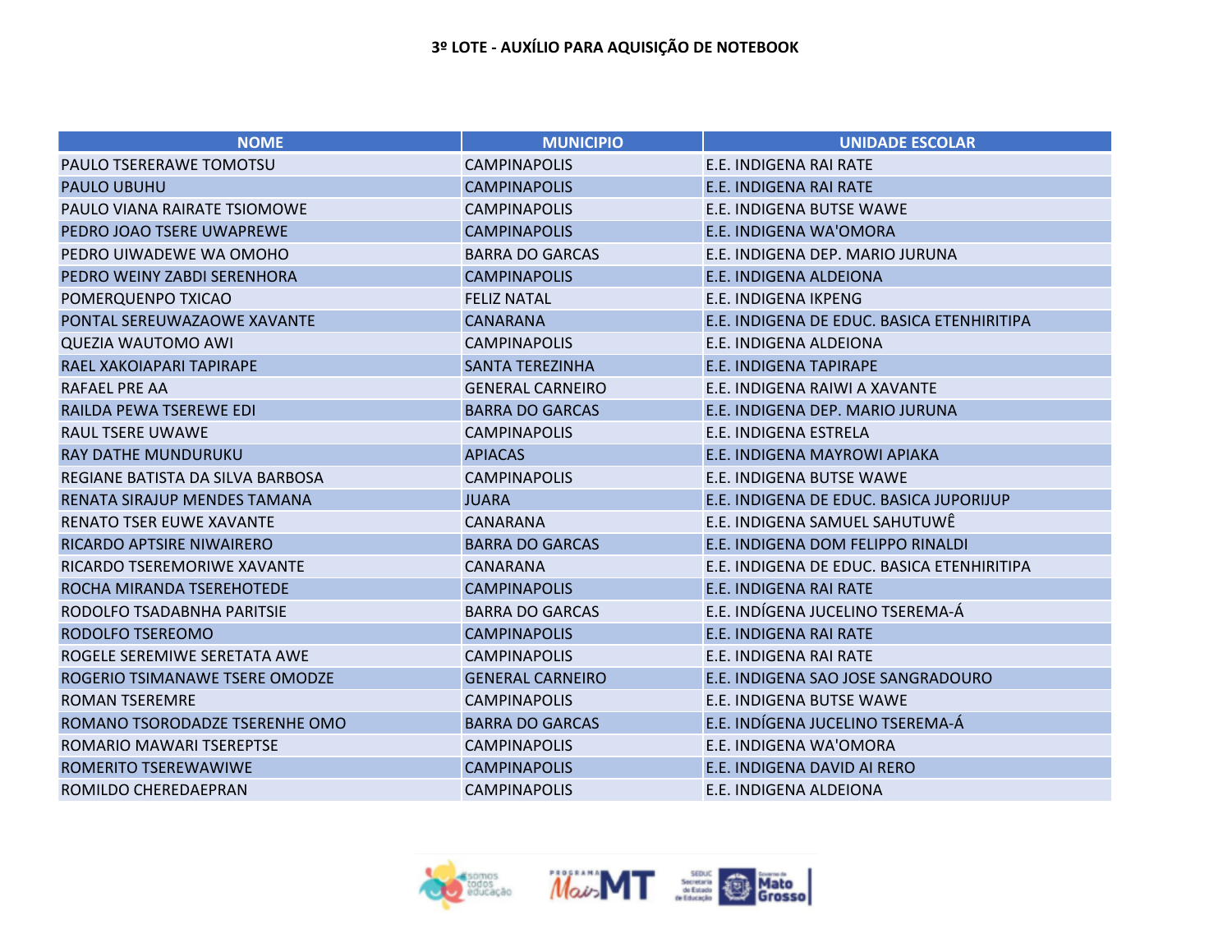| <b>NOME</b>                      | <b>MUNICIPIO</b>        | <b>UNIDADE ESCOLAR</b>                     |
|----------------------------------|-------------------------|--------------------------------------------|
| PAULO TSERERAWE TOMOTSU          | <b>CAMPINAPOLIS</b>     | E.E. INDIGENA RAI RATE                     |
| <b>PAULO UBUHU</b>               | <b>CAMPINAPOLIS</b>     | <b>E.E. INDIGENA RAI RATE</b>              |
| PAULO VIANA RAIRATE TSIOMOWE     | <b>CAMPINAPOLIS</b>     | E.E. INDIGENA BUTSE WAWE                   |
| PEDRO JOAO TSERE UWAPREWE        | <b>CAMPINAPOLIS</b>     | E.E. INDIGENA WA'OMORA                     |
| PEDRO UIWADEWE WA OMOHO          | <b>BARRA DO GARCAS</b>  | E.E. INDIGENA DEP. MARIO JURUNA            |
| PEDRO WEINY ZABDI SERENHORA      | <b>CAMPINAPOLIS</b>     | <b>E.E. INDIGENA ALDEIONA</b>              |
| POMERQUENPO TXICAO               | <b>FELIZ NATAL</b>      | E.E. INDIGENA IKPENG                       |
| PONTAL SEREUWAZAOWE XAVANTE      | <b>CANARANA</b>         | E.E. INDIGENA DE EDUC. BASICA ETENHIRITIPA |
| <b>QUEZIA WAUTOMO AWI</b>        | <b>CAMPINAPOLIS</b>     | E.E. INDIGENA ALDEIONA                     |
| RAEL XAKOIAPARI TAPIRAPE         | <b>SANTA TEREZINHA</b>  | <b>E.E. INDIGENA TAPIRAPE</b>              |
| RAFAEL PRE AA                    | <b>GENERAL CARNEIRO</b> | E.E. INDIGENA RAIWI A XAVANTE              |
| RAILDA PEWA TSEREWE EDI          | <b>BARRA DO GARCAS</b>  | E.E. INDIGENA DEP. MARIO JURUNA            |
| <b>RAUL TSERE UWAWE</b>          | <b>CAMPINAPOLIS</b>     | E.E. INDIGENA ESTRELA                      |
| <b>RAY DATHE MUNDURUKU</b>       | <b>APIACAS</b>          | E.E. INDIGENA MAYROWI APIAKA               |
| REGIANE BATISTA DA SILVA BARBOSA | <b>CAMPINAPOLIS</b>     | E.E. INDIGENA BUTSE WAWE                   |
| RENATA SIRAJUP MENDES TAMANA     | <b>JUARA</b>            | E.E. INDIGENA DE EDUC. BASICA JUPORIJUP    |
| <b>RENATO TSER EUWE XAVANTE</b>  | <b>CANARANA</b>         | E.E. INDIGENA SAMUEL SAHUTUWÊ              |
| RICARDO APTSIRE NIWAIRERO        | <b>BARRA DO GARCAS</b>  | E.E. INDIGENA DOM FELIPPO RINALDI          |
| RICARDO TSEREMORIWE XAVANTE      | <b>CANARANA</b>         | E.E. INDIGENA DE EDUC. BASICA ETENHIRITIPA |
| ROCHA MIRANDA TSEREHOTEDE        | <b>CAMPINAPOLIS</b>     | E.E. INDIGENA RAI RATE                     |
| RODOLFO TSADABNHA PARITSIE       | <b>BARRA DO GARCAS</b>  | E.E. INDÍGENA JUCELINO TSEREMA-Á           |
| RODOLFO TSEREOMO                 | <b>CAMPINAPOLIS</b>     | <b>E.E. INDIGENA RAI RATE</b>              |
| ROGELE SEREMIWE SERETATA AWE     | <b>CAMPINAPOLIS</b>     | E.E. INDIGENA RAI RATE                     |
| ROGERIO TSIMANAWE TSERE OMODZE   | <b>GENERAL CARNEIRO</b> | E.E. INDIGENA SAO JOSE SANGRADOURO         |
| <b>ROMAN TSEREMRE</b>            | <b>CAMPINAPOLIS</b>     | E.E. INDIGENA BUTSE WAWE                   |
| ROMANO TSORODADZE TSERENHE OMO   | <b>BARRA DO GARCAS</b>  | E.E. INDÍGENA JUCELINO TSEREMA-Á           |
| ROMARIO MAWARI TSEREPTSE         | <b>CAMPINAPOLIS</b>     | E.E. INDIGENA WA'OMORA                     |
| ROMERITO TSEREWAWIWE             | <b>CAMPINAPOLIS</b>     | E.E. INDIGENA DAVID AI RERO                |
| ROMILDO CHEREDAEPRAN             | <b>CAMPINAPOLIS</b>     | E.E. INDIGENA ALDEIONA                     |

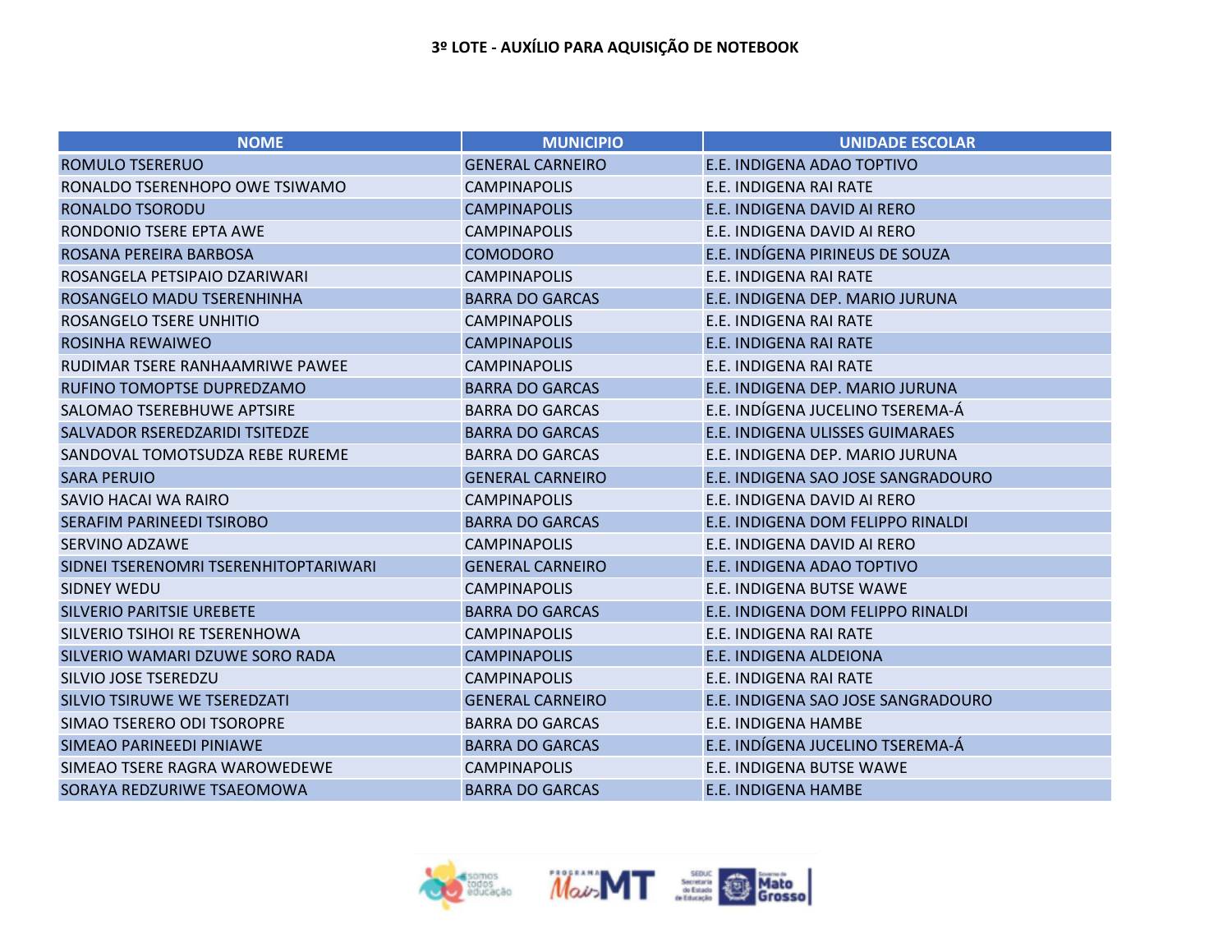| <b>NOME</b>                           | <b>MUNICIPIO</b>        | <b>UNIDADE ESCOLAR</b>             |
|---------------------------------------|-------------------------|------------------------------------|
| <b>ROMULO TSERERUO</b>                | <b>GENERAL CARNEIRO</b> | E.E. INDIGENA ADAO TOPTIVO         |
| RONALDO TSERENHOPO OWE TSIWAMO        | <b>CAMPINAPOLIS</b>     | E.E. INDIGENA RAI RATE             |
| RONALDO TSORODU                       | <b>CAMPINAPOLIS</b>     | E.E. INDIGENA DAVID AI RERO        |
| RONDONIO TSERE EPTA AWE               | <b>CAMPINAPOLIS</b>     | E.E. INDIGENA DAVID AI RERO        |
| ROSANA PEREIRA BARBOSA                | <b>COMODORO</b>         | E.E. INDÍGENA PIRINEUS DE SOUZA    |
| ROSANGELA PETSIPAIO DZARIWARI         | <b>CAMPINAPOLIS</b>     | E.E. INDIGENA RAI RATE             |
| ROSANGELO MADU TSERENHINHA            | <b>BARRA DO GARCAS</b>  | E.E. INDIGENA DEP. MARIO JURUNA    |
| ROSANGELO TSERE UNHITIO               | <b>CAMPINAPOLIS</b>     | E.E. INDIGENA RAI RATE             |
| <b>ROSINHA REWAIWEO</b>               | <b>CAMPINAPOLIS</b>     | E.E. INDIGENA RAI RATE             |
| RUDIMAR TSERE RANHAAMRIWE PAWEE       | <b>CAMPINAPOLIS</b>     | E.E. INDIGENA RAI RATE             |
| RUFINO TOMOPTSE DUPREDZAMO            | <b>BARRA DO GARCAS</b>  | E.E. INDIGENA DEP. MARIO JURUNA    |
| SALOMAO TSEREBHUWE APTSIRE            | <b>BARRA DO GARCAS</b>  | E.E. INDÍGENA JUCELINO TSEREMA-Á   |
| SALVADOR RSEREDZARIDI TSITEDZE        | <b>BARRA DO GARCAS</b>  | E.E. INDIGENA ULISSES GUIMARAES    |
| SANDOVAL TOMOTSUDZA REBE RUREME       | <b>BARRA DO GARCAS</b>  | E.E. INDIGENA DEP. MARIO JURUNA    |
| <b>SARA PERUIO</b>                    | <b>GENERAL CARNEIRO</b> | E.E. INDIGENA SAO JOSE SANGRADOURO |
| SAVIO HACAI WA RAIRO                  | <b>CAMPINAPOLIS</b>     | E.E. INDIGENA DAVID AI RERO        |
| <b>SERAFIM PARINEEDI TSIROBO</b>      | <b>BARRA DO GARCAS</b>  | E.E. INDIGENA DOM FELIPPO RINALDI  |
| <b>SERVINO ADZAWE</b>                 | <b>CAMPINAPOLIS</b>     | E.E. INDIGENA DAVID AI RERO        |
| SIDNEI TSERENOMRI TSERENHITOPTARIWARI | <b>GENERAL CARNEIRO</b> | E.E. INDIGENA ADAO TOPTIVO         |
| <b>SIDNEY WEDU</b>                    | <b>CAMPINAPOLIS</b>     | E.E. INDIGENA BUTSE WAWE           |
| <b>SILVERIO PARITSIE UREBETE</b>      | <b>BARRA DO GARCAS</b>  | E.E. INDIGENA DOM FELIPPO RINALDI  |
| SILVERIO TSIHOI RE TSERENHOWA         | <b>CAMPINAPOLIS</b>     | E.E. INDIGENA RAI RATE             |
| SILVERIO WAMARI DZUWE SORO RADA       | <b>CAMPINAPOLIS</b>     | <b>E.E. INDIGENA ALDEIONA</b>      |
| <b>SILVIO JOSE TSEREDZU</b>           | <b>CAMPINAPOLIS</b>     | E.E. INDIGENA RAI RATE             |
| SILVIO TSIRUWE WE TSEREDZATI          | <b>GENERAL CARNEIRO</b> | E.E. INDIGENA SAO JOSE SANGRADOURO |
| SIMAO TSERERO ODI TSOROPRE            | <b>BARRA DO GARCAS</b>  | E.E. INDIGENA HAMBE                |
| SIMEAO PARINEEDI PINIAWE              | <b>BARRA DO GARCAS</b>  | E.E. INDÍGENA JUCELINO TSEREMA-Á   |
| SIMEAO TSERE RAGRA WAROWEDEWE         | <b>CAMPINAPOLIS</b>     | E.E. INDIGENA BUTSE WAWE           |
| SORAYA REDZURIWE TSAEOMOWA            | <b>BARRA DO GARCAS</b>  | <b>E.E. INDIGENA HAMBE</b>         |

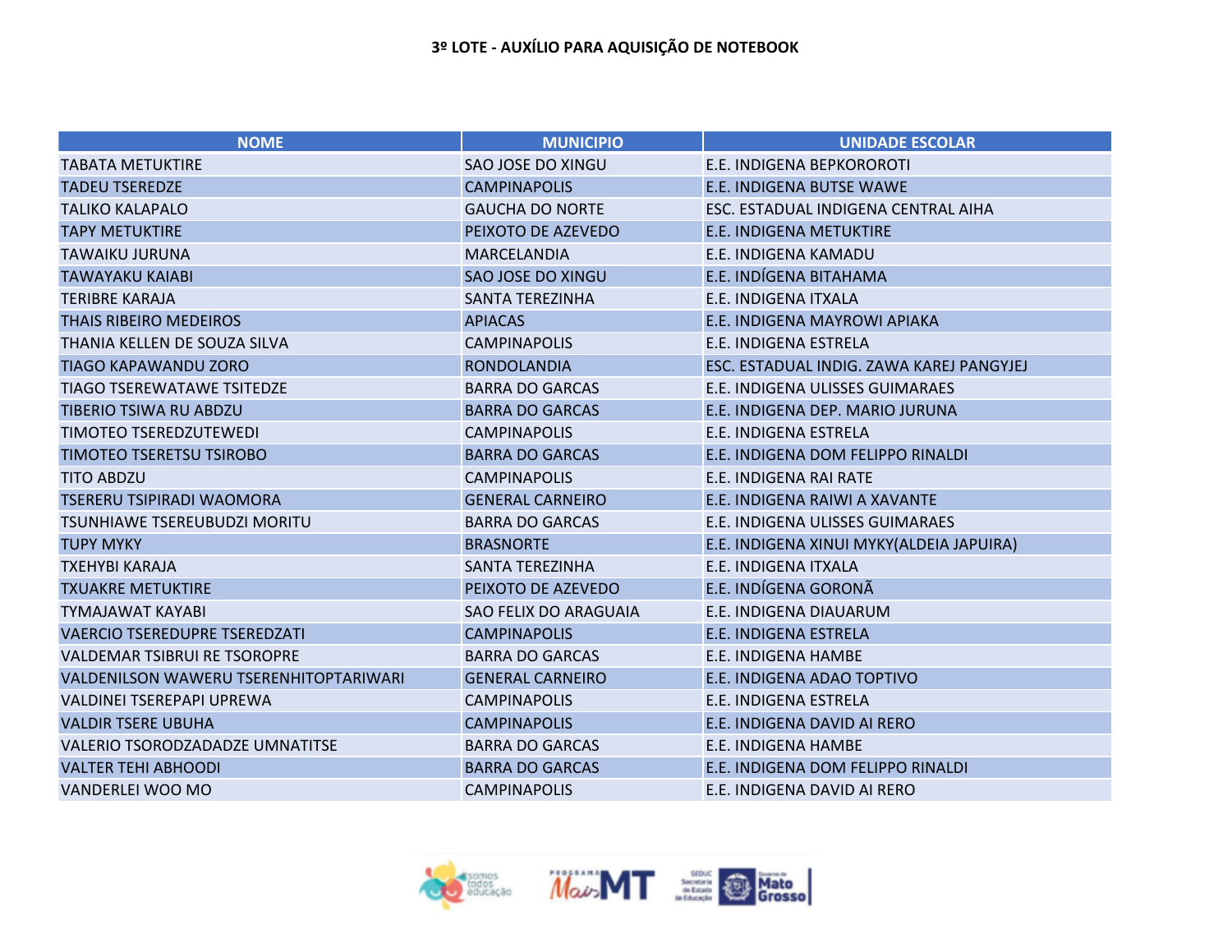| <b>NOME</b>                                   | <b>MUNICIPIO</b>        | <b>UNIDADE ESCOLAR</b>                    |
|-----------------------------------------------|-------------------------|-------------------------------------------|
| <b>TABATA METUKTIRE</b>                       | SAO JOSE DO XINGU       | E.E. INDIGENA BEPKOROROTI                 |
| <b>TADEU TSEREDZE</b>                         | <b>CAMPINAPOLIS</b>     | E.E. INDIGENA BUTSE WAWE                  |
| <b>TALIKO KALAPALO</b>                        | <b>GAUCHA DO NORTE</b>  | ESC. ESTADUAL INDIGENA CENTRAL AIHA       |
| <b>TAPY METUKTIRE</b>                         | PEIXOTO DE AZEVEDO      | <b>E.E. INDIGENA METUKTIRE</b>            |
| <b>TAWAIKU JURUNA</b>                         | <b>MARCELANDIA</b>      | E.E. INDIGENA KAMADU                      |
| <b>TAWAYAKU KAIABI</b>                        | SAO JOSE DO XINGU       | E.E. INDÍGENA BITAHAMA                    |
| <b>TERIBRE KARAJA</b>                         | <b>SANTA TEREZINHA</b>  | E.E. INDIGENA ITXALA                      |
| <b>THAIS RIBEIRO MEDEIROS</b>                 | <b>APIACAS</b>          | E.E. INDIGENA MAYROWI APIAKA              |
| THANIA KELLEN DE SOUZA SILVA                  | <b>CAMPINAPOLIS</b>     | E.E. INDIGENA ESTRELA                     |
| <b>TIAGO KAPAWANDU ZORO</b>                   | <b>RONDOLANDIA</b>      | ESC. ESTADUAL INDIG. ZAWA KAREJ PANGYJEJ  |
| <b>TIAGO TSEREWATAWE TSITEDZE</b>             | <b>BARRA DO GARCAS</b>  | E.E. INDIGENA ULISSES GUIMARAES           |
| TIBERIO TSIWA RU ABDZU                        | <b>BARRA DO GARCAS</b>  | E.E. INDIGENA DEP. MARIO JURUNA           |
| TIMOTEO TSEREDZUTEWEDI                        | <b>CAMPINAPOLIS</b>     | E.E. INDIGENA ESTRELA                     |
| <b>TIMOTEO TSERETSU TSIROBO</b>               | <b>BARRA DO GARCAS</b>  | E.E. INDIGENA DOM FELIPPO RINALDI         |
| <b>TITO ABDZU</b>                             | <b>CAMPINAPOLIS</b>     | E.E. INDIGENA RAI RATE                    |
| <b>TSERERU TSIPIRADI WAOMORA</b>              | <b>GENERAL CARNEIRO</b> | E.E. INDIGENA RAIWI A XAVANTE             |
| <b>TSUNHIAWE TSEREUBUDZI MORITU</b>           | <b>BARRA DO GARCAS</b>  | E.E. INDIGENA ULISSES GUIMARAES           |
| <b>TUPY MYKY</b>                              | <b>BRASNORTE</b>        | E.E. INDIGENA XINUI MYKY (ALDEIA JAPUIRA) |
| <b>TXEHYBI KARAJA</b>                         | <b>SANTA TEREZINHA</b>  | E.E. INDIGENA ITXALA                      |
| <b>TXUAKRE METUKTIRE</b>                      | PEIXOTO DE AZEVEDO      | E.E. INDÍGENA GORONÃ                      |
| <b>TYMAJAWAT KAYABI</b>                       | SAO FELIX DO ARAGUAIA   | E.E. INDIGENA DIAUARUM                    |
| <b>VAERCIO TSEREDUPRE TSEREDZATI</b>          | <b>CAMPINAPOLIS</b>     | <b>E.E. INDIGENA ESTRELA</b>              |
| <b>VALDEMAR TSIBRUI RE TSOROPRE</b>           | <b>BARRA DO GARCAS</b>  | E.E. INDIGENA HAMBE                       |
| <b>VALDENILSON WAWERU TSERENHITOPTARIWARI</b> | <b>GENERAL CARNEIRO</b> | E.E. INDIGENA ADAO TOPTIVO                |
| VALDINEI TSEREPAPI UPREWA                     | <b>CAMPINAPOLIS</b>     | E.E. INDIGENA ESTRELA                     |
| <b>VALDIR TSERE UBUHA</b>                     | <b>CAMPINAPOLIS</b>     | E.E. INDIGENA DAVID AI RERO               |
| VALERIO TSORODZADADZE UMNATITSE               | <b>BARRA DO GARCAS</b>  | E.E. INDIGENA HAMBE                       |
| <b>VALTER TEHI ABHOODI</b>                    | <b>BARRA DO GARCAS</b>  | E.E. INDIGENA DOM FELIPPO RINALDI         |
| <b>VANDERLEI WOO MO</b>                       | <b>CAMPINAPOLIS</b>     | E.E. INDIGENA DAVID AI RERO               |